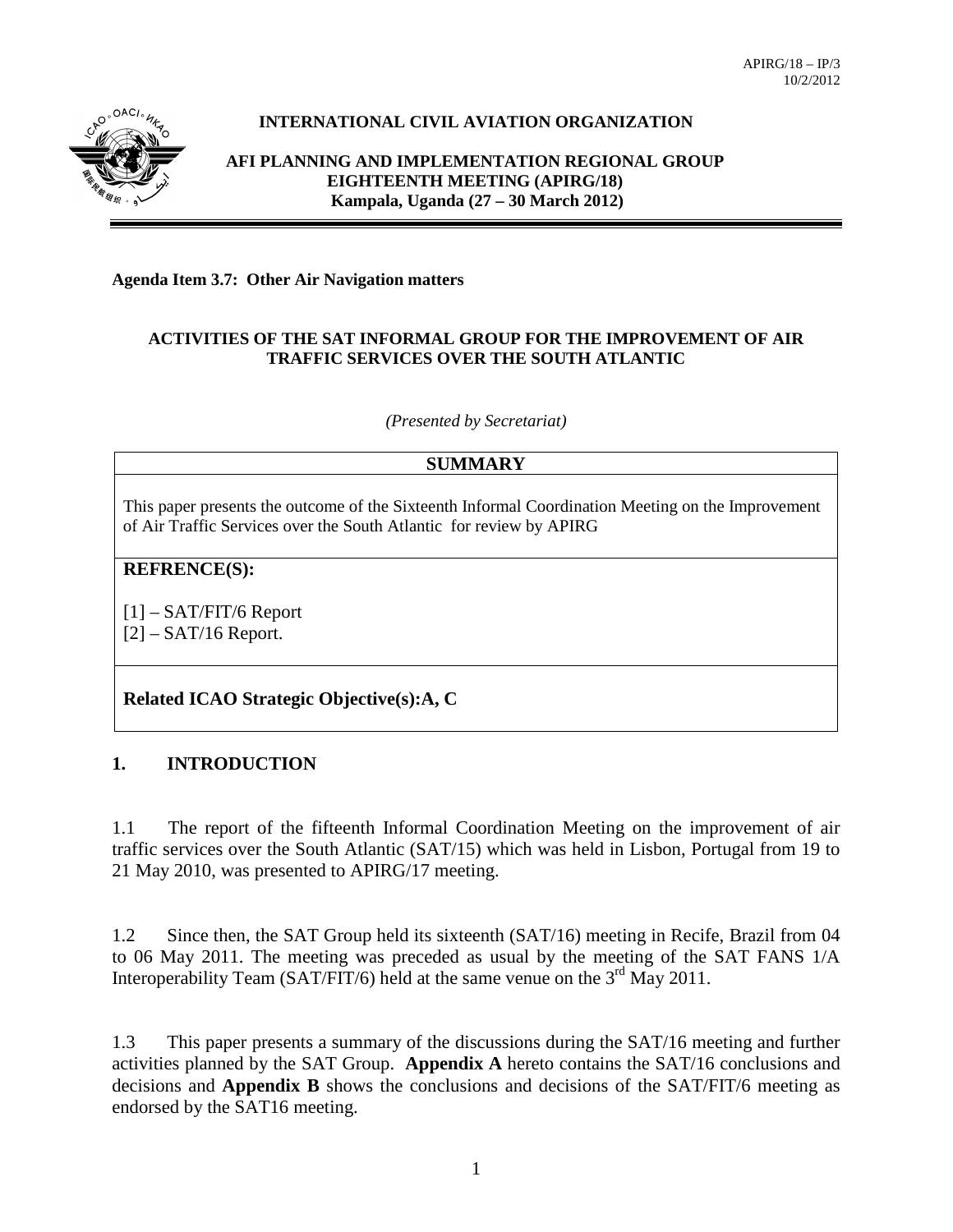

# **INTERNATIONAL CIVIL AVIATION ORGANIZATION**

**AFI PLANNING AND IMPLEMENTATION REGIONAL GROUP EIGHTEENTH MEETING (APIRG/18) Kampala, Uganda (27 – 30 March 2012)**

#### **Agenda Item 3.7: Other Air Navigation matters**

### **ACTIVITIES OF THE SAT INFORMAL GROUP FOR THE IMPROVEMENT OF AIR TRAFFIC SERVICES OVER THE SOUTH ATLANTIC**

*(Presented by Secretariat)*

# **SUMMARY**

This paper presents the outcome of the Sixteenth Informal Coordination Meeting on the Improvement of Air Traffic Services over the South Atlantic for review by APIRG

# **REFRENCE(S):**

[1] – SAT/FIT/6 Report [2] – SAT/16 Report.

**Related ICAO Strategic Objective(s):A, C**

# **1. INTRODUCTION**

1.1 The report of the fifteenth Informal Coordination Meeting on the improvement of air traffic services over the South Atlantic (SAT/15) which was held in Lisbon, Portugal from 19 to 21 May 2010, was presented to APIRG/17 meeting.

1.2 Since then, the SAT Group held its sixteenth (SAT/16) meeting in Recife, Brazil from 04 to 06 May 2011. The meeting was preceded as usual by the meeting of the SAT FANS 1/A Interoperability Team (SAT/FIT/6) held at the same venue on the  $3<sup>rd</sup>$  May 2011.

1.3 This paper presents a summary of the discussions during the SAT/16 meeting and further activities planned by the SAT Group. **Appendix A** hereto contains the SAT/16 conclusions and decisions and **Appendix B** shows the conclusions and decisions of the SAT/FIT/6 meeting as endorsed by the SAT16 meeting.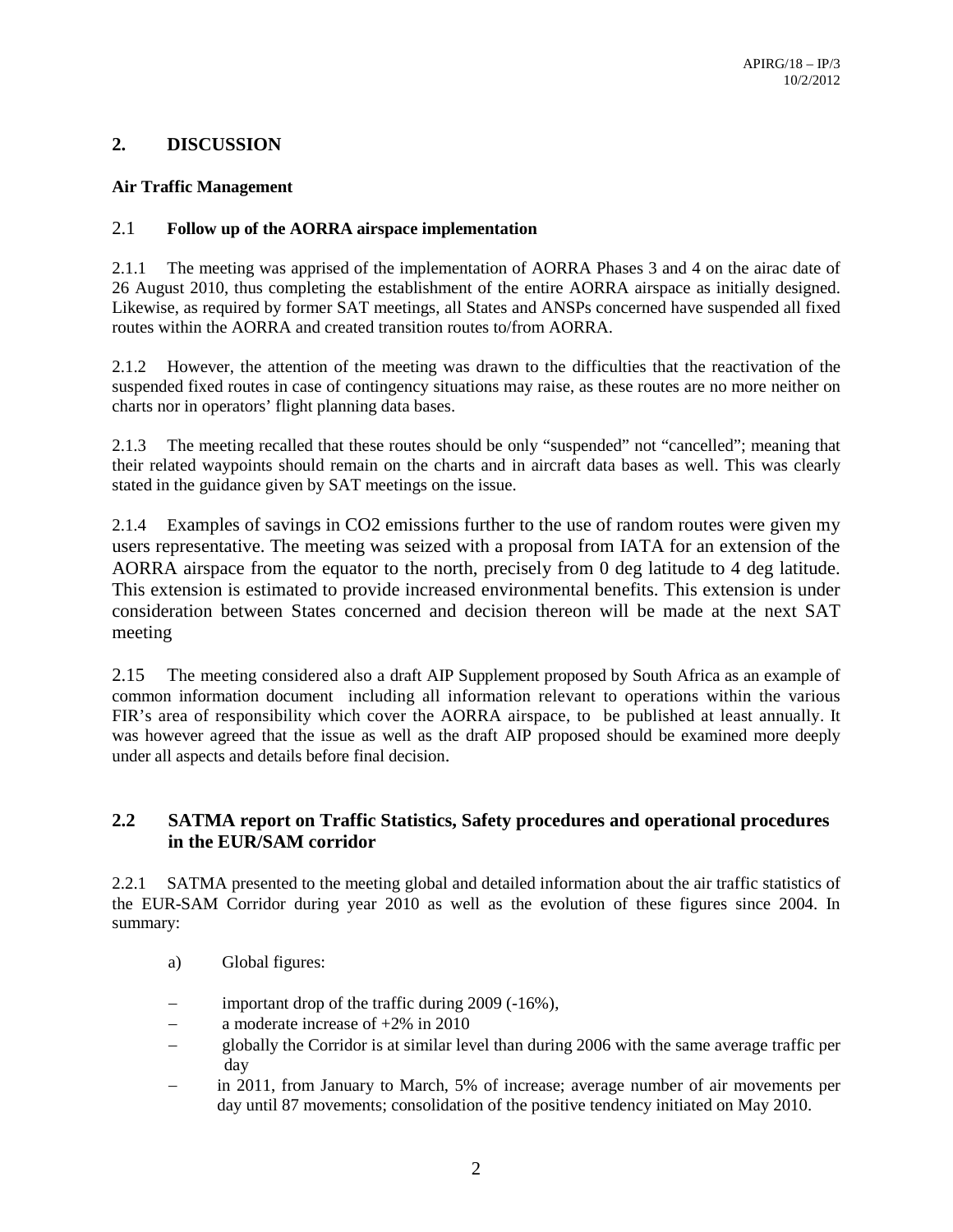# **2. DISCUSSION**

#### **Air Traffic Management**

### 2.1 **Follow up of the AORRA airspace implementation**

2.1.1 The meeting was apprised of the implementation of AORRA Phases 3 and 4 on the airac date of 26 August 2010, thus completing the establishment of the entire AORRA airspace as initially designed. Likewise, as required by former SAT meetings, all States and ANSPs concerned have suspended all fixed routes within the AORRA and created transition routes to/from AORRA.

2.1.2 However, the attention of the meeting was drawn to the difficulties that the reactivation of the suspended fixed routes in case of contingency situations may raise, as these routes are no more neither on charts nor in operators' flight planning data bases.

2.1.3 The meeting recalled that these routes should be only "suspended" not "cancelled"; meaning that their related waypoints should remain on the charts and in aircraft data bases as well. This was clearly stated in the guidance given by SAT meetings on the issue.

2.1.4 Examples of savings in CO2 emissions further to the use of random routes were given my users representative. The meeting was seized with a proposal from IATA for an extension of the AORRA airspace from the equator to the north, precisely from 0 deg latitude to 4 deg latitude. This extension is estimated to provide increased environmental benefits. This extension is under consideration between States concerned and decision thereon will be made at the next SAT meeting

2.15 The meeting considered also a draft AIP Supplement proposed by South Africa as an example of common information document including all information relevant to operations within the various FIR's area of responsibility which cover the AORRA airspace, to be published at least annually. It was however agreed that the issue as well as the draft AIP proposed should be examined more deeply under all aspects and details before final decision.

# **2.2 SATMA report on Traffic Statistics, Safety procedures and operational procedures in the EUR/SAM corridor**

2.2.1 SATMA presented to the meeting global and detailed information about the air traffic statistics of the EUR-SAM Corridor during year 2010 as well as the evolution of these figures since 2004. In summary:

- a) Global figures:
- important drop of the traffic during 2009 (-16%),
- − a moderate increase of +2% in 2010
- − globally the Corridor is at similar level than during 2006 with the same average traffic per day
- in 2011, from January to March, 5% of increase; average number of air movements per day until 87 movements; consolidation of the positive tendency initiated on May 2010.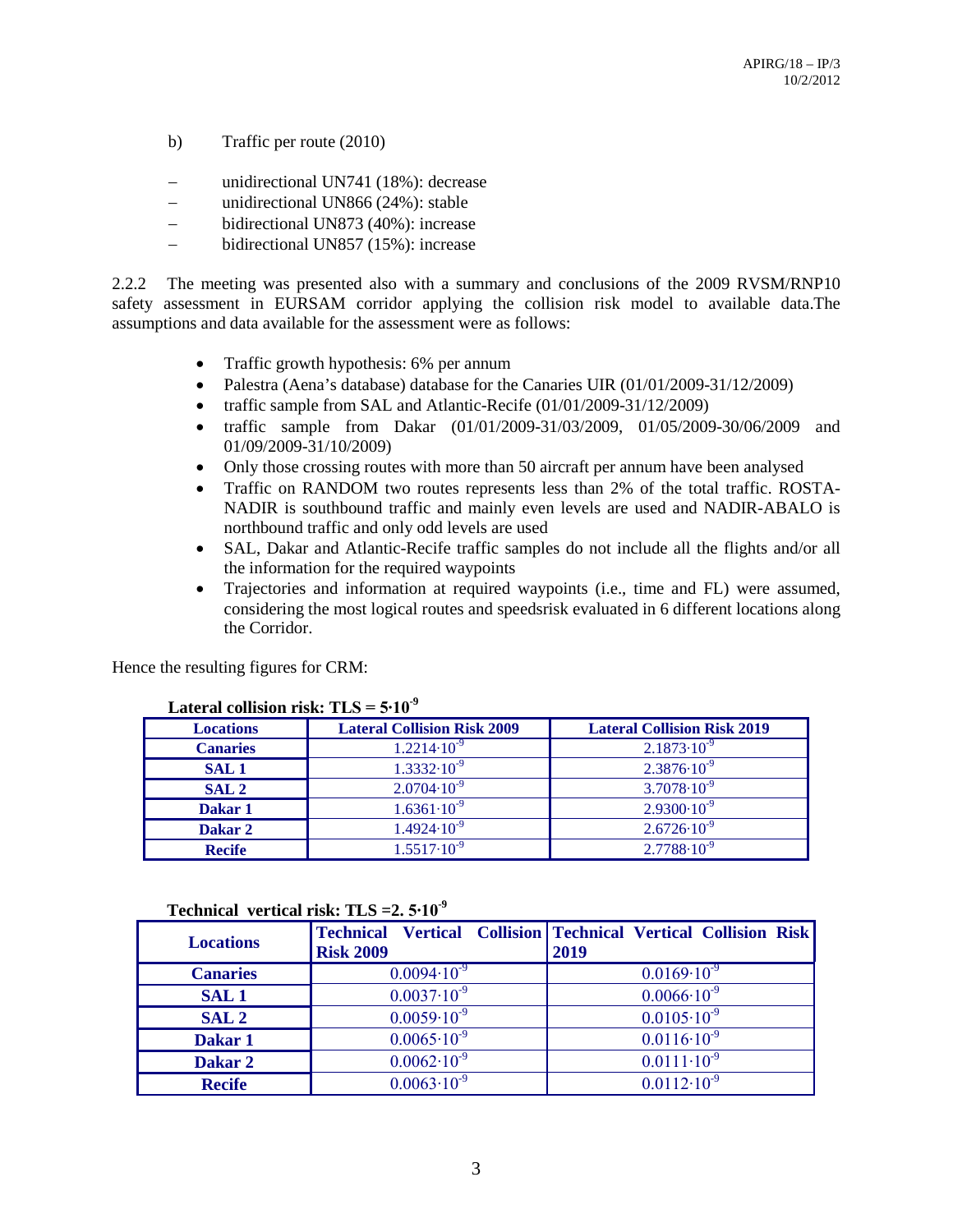- b) Traffic per route (2010)
- − unidirectional UN741 (18%): decrease
- − unidirectional UN866 (24%): stable
- − bidirectional UN873 (40%): increase
- − bidirectional UN857 (15%): increase

2.2.2 The meeting was presented also with a summary and conclusions of the 2009 RVSM/RNP10 safety assessment in EURSAM corridor applying the collision risk model to available data.The assumptions and data available for the assessment were as follows:

- Traffic growth hypothesis: 6% per annum
- Palestra (Aena's database) database for the Canaries UIR (01/01/2009-31/12/2009)
- traffic sample from SAL and Atlantic-Recife (01/01/2009-31/12/2009)
- traffic sample from Dakar (01/01/2009-31/03/2009, 01/05/2009-30/06/2009 and 01/09/2009-31/10/2009)
- Only those crossing routes with more than 50 aircraft per annum have been analysed
- Traffic on RANDOM two routes represents less than 2% of the total traffic. ROSTA-NADIR is southbound traffic and mainly even levels are used and NADIR-ABALO is northbound traffic and only odd levels are used
- SAL, Dakar and Atlantic-Recife traffic samples do not include all the flights and/or all the information for the required waypoints
- Trajectories and information at required waypoints (i.e., time and FL) were assumed, considering the most logical routes and speedsrisk evaluated in 6 different locations along the Corridor.

Hence the resulting figures for CRM:

| елени сополон году тео |                                    |                                    |
|------------------------|------------------------------------|------------------------------------|
| <b>Locations</b>       | <b>Lateral Collision Risk 2009</b> | <b>Lateral Collision Risk 2019</b> |
| <b>Canaries</b>        | $1.2214 \cdot 10^{-9}$             | $2.1873 \cdot 10^{-9}$             |
| <b>SAL1</b>            | $1.3332 \cdot 10^{-9}$             | $2.3876 \cdot 10^{-9}$             |
| SAL <sub>2</sub>       | $2.0704 \cdot 10^{-9}$             | $3.7078 \cdot 10^{-9}$             |
| Dakar 1                | $1.6361 \cdot 10^{-9}$             | $2.9300 \cdot 10^{-9}$             |
| Dakar 2                | $1.4924 \cdot 10^{-9}$             | $2.6726 \cdot 10^{-9}$             |
| <b>Recife</b>          | $1.5517 \cdot 10^{-9}$             | $2.7788 \cdot 10^{-9}$             |

#### **Lateral collision risk: TI S =**  $5.10^{9}$

**Technical vertical risk: TLS =2. 5∙10-9**

| Technical vertical H3N. TED $=2.5$ TV |                        |                                                                               |  |
|---------------------------------------|------------------------|-------------------------------------------------------------------------------|--|
| <b>Locations</b>                      | <b>Risk 2009</b>       | <b>Technical Vertical Collision Technical Vertical Collision Risk</b><br>2019 |  |
|                                       |                        |                                                                               |  |
| <b>Canaries</b>                       | $0.0094 \cdot 10^{-9}$ | $0.0169\cdot\overline{10^{-9}}$                                               |  |
| SAL <sub>1</sub>                      | $0.0037 \cdot 10^{-9}$ | $0.0066 \cdot 10^{-9}$                                                        |  |
| SAL <sub>2</sub>                      | $0.0059 \cdot 10^{-9}$ | $0.0105 \cdot 10^{-9}$                                                        |  |
| Dakar 1                               | $0.0065 \cdot 10^{-9}$ | $0.0116 \cdot 10^{-9}$                                                        |  |
| Dakar 2                               | $0.0062 \cdot 10^{-9}$ | $0.0111 \cdot 10^{-9}$                                                        |  |
| <b>Recife</b>                         | $0.0063 \cdot 10^{-9}$ | $0.0112 \cdot 10^{-9}$                                                        |  |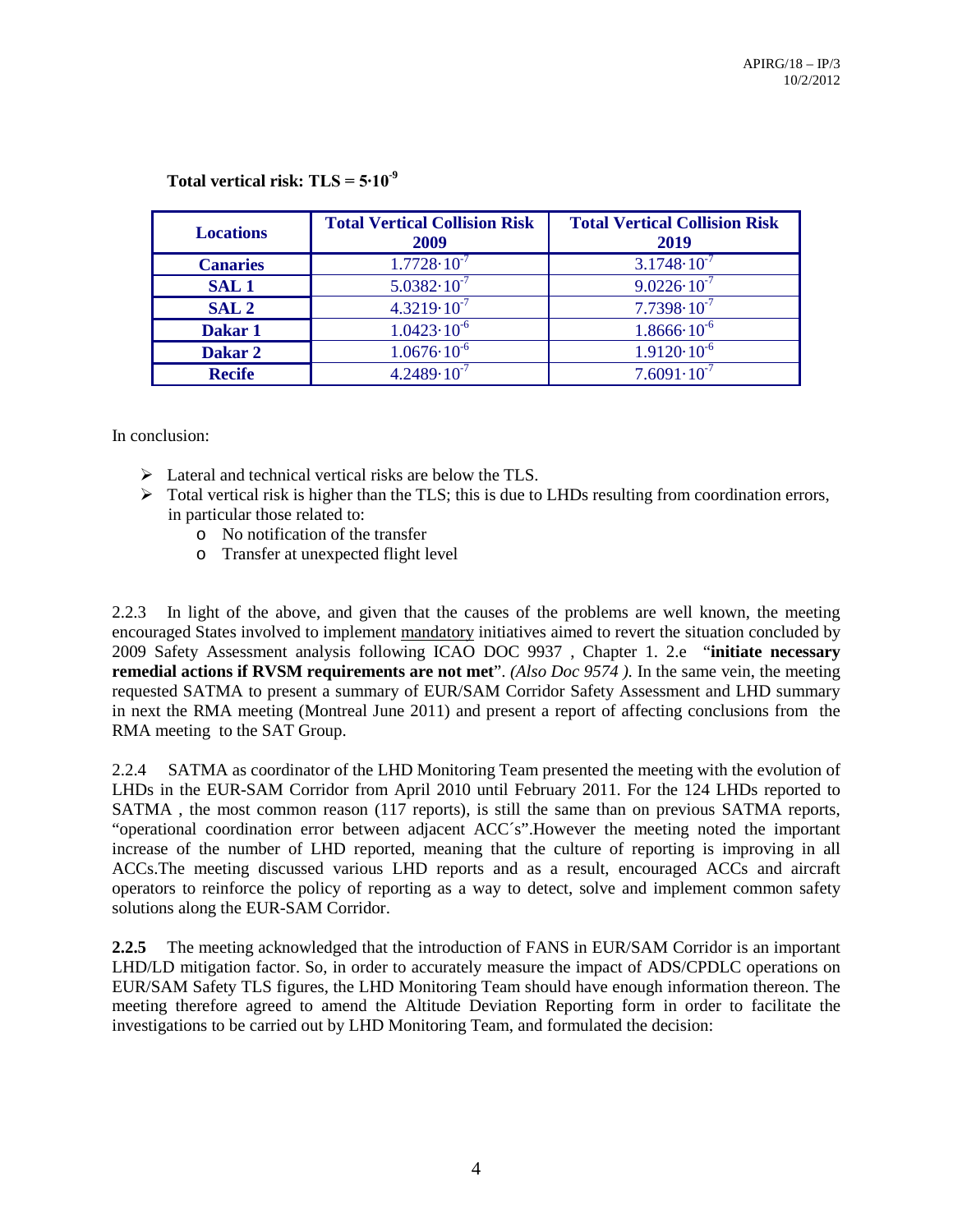| <b>Locations</b> | <b>Total Vertical Collision Risk</b><br>2009 | <b>Total Vertical Collision Risk</b><br>2019 |
|------------------|----------------------------------------------|----------------------------------------------|
| <b>Canaries</b>  | $1.7728 \cdot 10^{-7}$                       | $3.1748 \cdot 10^{-7}$                       |
| SAL <sub>1</sub> | $5.0382 \cdot 10^{7}$                        | $9.0226 \cdot 10^{-7}$                       |
| SAL <sub>2</sub> | $4.3219 \cdot 10^{-7}$                       | $7.7398 \cdot 10^{-7}$                       |
| Dakar 1          | $1.0423 \cdot 10^{-6}$                       | $1.8666 \cdot 10^{-6}$                       |
| Dakar 2          | $1.0676 \cdot 10^{-6}$                       | $1.9120 \cdot 10^{-6}$                       |
| <b>Recife</b>    | $4.2489 \cdot 10^{7}$                        | $7.6091 \cdot 10^{-7}$                       |

# **Total vertical risk: TLS = 5∙10-9**

In conclusion:

- $\triangleright$  Lateral and technical vertical risks are below the TLS.
- $\triangleright$  Total vertical risk is higher than the TLS; this is due to LHDs resulting from coordination errors, in particular those related to:
	- o No notification of the transfer
	- o Transfer at unexpected flight level

2.2.3 In light of the above, and given that the causes of the problems are well known, the meeting encouraged States involved to implement mandatory initiatives aimed to revert the situation concluded by 2009 Safety Assessment analysis following ICAO DOC 9937 , Chapter 1. 2.e "**initiate necessary remedial actions if RVSM requirements are not met**". *(Also Doc 9574 ).* In the same vein, the meeting requested SATMA to present a summary of EUR/SAM Corridor Safety Assessment and LHD summary in next the RMA meeting (Montreal June 2011) and present a report of affecting conclusions from the RMA meeting to the SAT Group.

2.2.4 SATMA as coordinator of the LHD Monitoring Team presented the meeting with the evolution of LHDs in the EUR-SAM Corridor from April 2010 until February 2011. For the 124 LHDs reported to SATMA , the most common reason (117 reports), is still the same than on previous SATMA reports, "operational coordination error between adjacent ACC´s".However the meeting noted the important increase of the number of LHD reported, meaning that the culture of reporting is improving in all ACCs.The meeting discussed various LHD reports and as a result, encouraged ACCs and aircraft operators to reinforce the policy of reporting as a way to detect, solve and implement common safety solutions along the EUR-SAM Corridor.

**2.2.5** The meeting acknowledged that the introduction of FANS in EUR/SAM Corridor is an important LHD/LD mitigation factor. So, in order to accurately measure the impact of ADS/CPDLC operations on EUR/SAM Safety TLS figures, the LHD Monitoring Team should have enough information thereon. The meeting therefore agreed to amend the Altitude Deviation Reporting form in order to facilitate the investigations to be carried out by LHD Monitoring Team, and formulated the decision: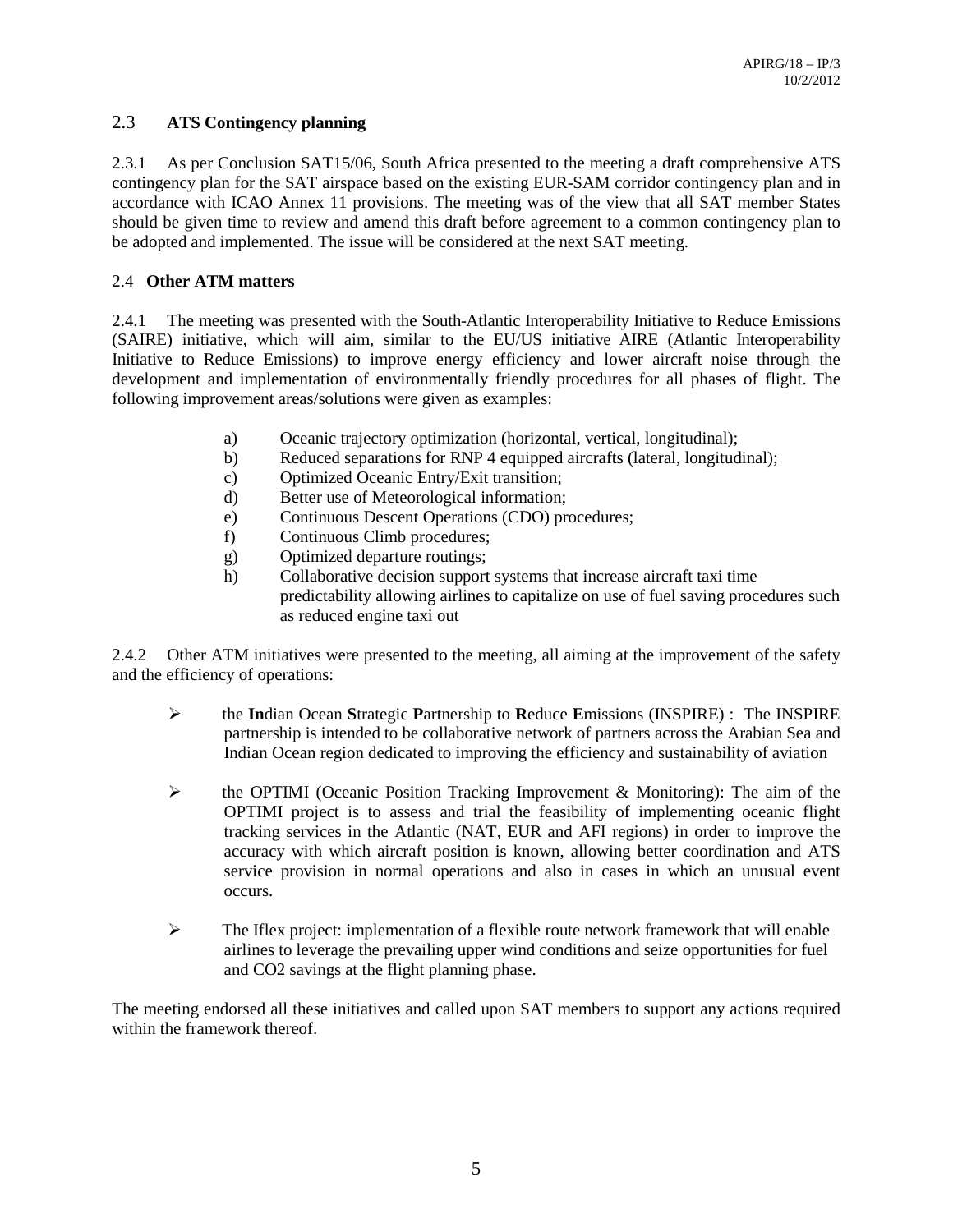# 2.3 **ATS Contingency planning**

2.3.1 As per Conclusion SAT15/06, South Africa presented to the meeting a draft comprehensive ATS contingency plan for the SAT airspace based on the existing EUR-SAM corridor contingency plan and in accordance with ICAO Annex 11 provisions. The meeting was of the view that all SAT member States should be given time to review and amend this draft before agreement to a common contingency plan to be adopted and implemented. The issue will be considered at the next SAT meeting.

### 2.4 **Other ATM matters**

2.4.1 The meeting was presented with the South-Atlantic Interoperability Initiative to Reduce Emissions (SAIRE) initiative, which will aim, similar to the EU/US initiative AIRE (Atlantic Interoperability Initiative to Reduce Emissions) to improve energy efficiency and lower aircraft noise through the development and implementation of environmentally friendly procedures for all phases of flight. The following improvement areas/solutions were given as examples:

- a) Oceanic trajectory optimization (horizontal, vertical, longitudinal);
- b) Reduced separations for RNP 4 equipped aircrafts (lateral, longitudinal);
- c) Optimized Oceanic Entry/Exit transition;
- d) Better use of Meteorological information;
- e) Continuous Descent Operations (CDO) procedures;
- f) Continuous Climb procedures;
- g) Optimized departure routings;
- h) Collaborative decision support systems that increase aircraft taxi time predictability allowing airlines to capitalize on use of fuel saving procedures such as reduced engine taxi out

2.4.2 Other ATM initiatives were presented to the meeting, all aiming at the improvement of the safety and the efficiency of operations:

- the **In**dian Ocean **S**trategic **P**artnership to **R**educe **E**missions (INSPIRE) : The INSPIRE partnership is intended to be collaborative network of partners across the Arabian Sea and Indian Ocean region dedicated to improving the efficiency and sustainability of aviation
- the OPTIMI (Oceanic Position Tracking Improvement & Monitoring): The aim of the OPTIMI project is to assess and trial the feasibility of implementing oceanic flight tracking services in the Atlantic (NAT, EUR and AFI regions) in order to improve the accuracy with which aircraft position is known, allowing better coordination and ATS service provision in normal operations and also in cases in which an unusual event occurs.
- $\triangleright$  The Iflex project: implementation of a flexible route network framework that will enable airlines to leverage the prevailing upper wind conditions and seize opportunities for fuel and CO2 savings at the flight planning phase.

The meeting endorsed all these initiatives and called upon SAT members to support any actions required within the framework thereof.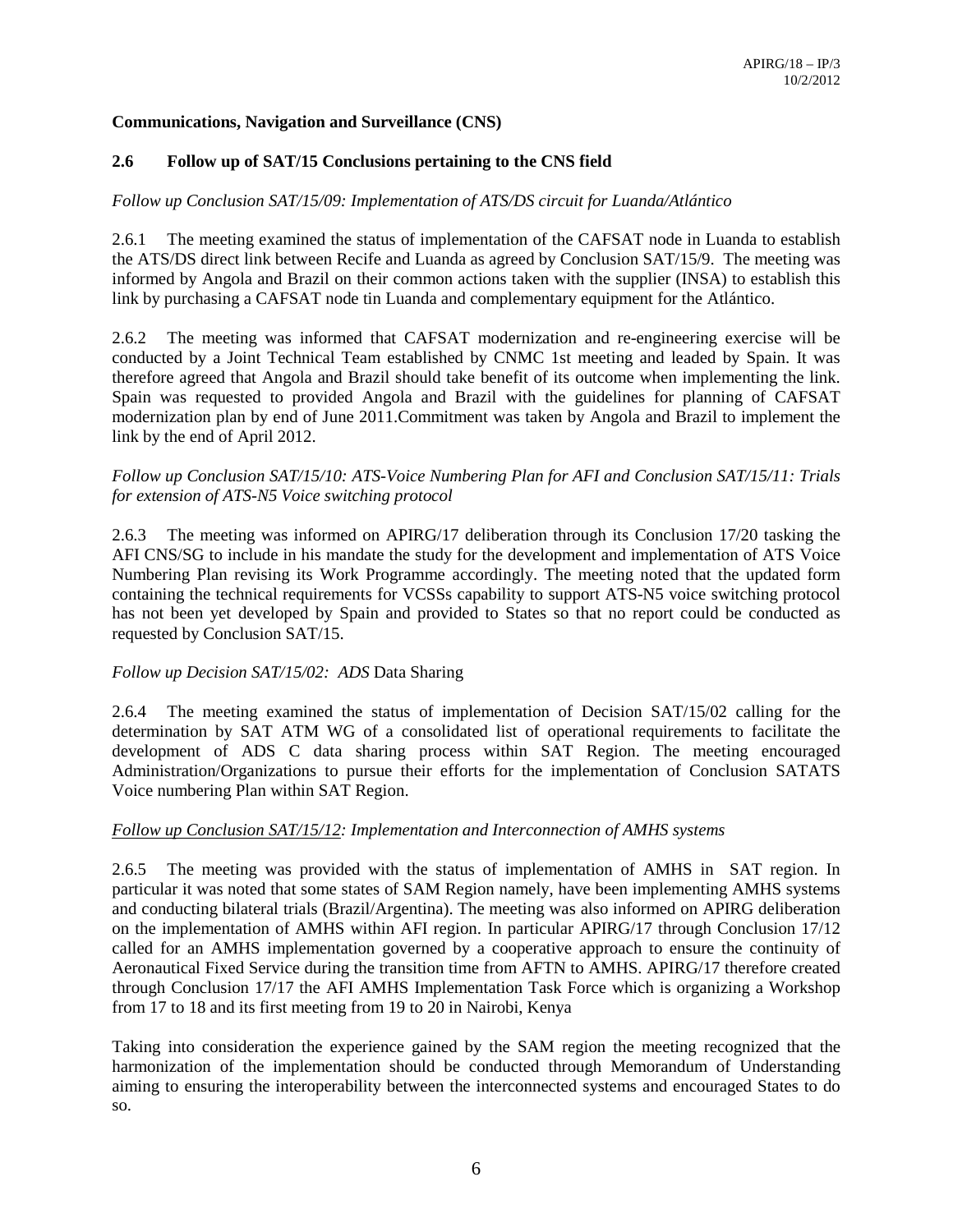#### **Communications, Navigation and Surveillance (CNS)**

### **2.6 Follow up of SAT/15 Conclusions pertaining to the CNS field**

#### *Follow up Conclusion SAT/15/09: Implementation of ATS/DS circuit for Luanda/Atlántico*

2.6.1 The meeting examined the status of implementation of the CAFSAT node in Luanda to establish the ATS/DS direct link between Recife and Luanda as agreed by Conclusion SAT/15/9. The meeting was informed by Angola and Brazil on their common actions taken with the supplier (INSA) to establish this link by purchasing a CAFSAT node tin Luanda and complementary equipment for the Atlántico.

2.6.2 The meeting was informed that CAFSAT modernization and re-engineering exercise will be conducted by a Joint Technical Team established by CNMC 1st meeting and leaded by Spain. It was therefore agreed that Angola and Brazil should take benefit of its outcome when implementing the link. Spain was requested to provided Angola and Brazil with the guidelines for planning of CAFSAT modernization plan by end of June 2011.Commitment was taken by Angola and Brazil to implement the link by the end of April 2012.

#### *Follow up Conclusion SAT/15/10: ATS-Voice Numbering Plan for AFI and Conclusion SAT/15/11: Trials for extension of ATS-N5 Voice switching protocol*

2.6.3 The meeting was informed on APIRG/17 deliberation through its Conclusion 17/20 tasking the AFI CNS/SG to include in his mandate the study for the development and implementation of ATS Voice Numbering Plan revising its Work Programme accordingly. The meeting noted that the updated form containing the technical requirements for VCSSs capability to support ATS-N5 voice switching protocol has not been yet developed by Spain and provided to States so that no report could be conducted as requested by Conclusion SAT/15.

#### *Follow up Decision SAT/15/02: ADS* Data Sharing

2.6.4 The meeting examined the status of implementation of Decision SAT/15/02 calling for the determination by SAT ATM WG of a consolidated list of operational requirements to facilitate the development of ADS C data sharing process within SAT Region. The meeting encouraged Administration/Organizations to pursue their efforts for the implementation of Conclusion SATATS Voice numbering Plan within SAT Region.

#### *Follow up Conclusion SAT/15/12: Implementation and Interconnection of AMHS systems*

2.6.5 The meeting was provided with the status of implementation of AMHS in SAT region. In particular it was noted that some states of SAM Region namely, have been implementing AMHS systems and conducting bilateral trials (Brazil/Argentina). The meeting was also informed on APIRG deliberation on the implementation of AMHS within AFI region. In particular APIRG/17 through Conclusion 17/12 called for an AMHS implementation governed by a cooperative approach to ensure the continuity of Aeronautical Fixed Service during the transition time from AFTN to AMHS. APIRG/17 therefore created through Conclusion 17/17 the AFI AMHS Implementation Task Force which is organizing a Workshop from 17 to 18 and its first meeting from 19 to 20 in Nairobi, Kenya

Taking into consideration the experience gained by the SAM region the meeting recognized that the harmonization of the implementation should be conducted through Memorandum of Understanding aiming to ensuring the interoperability between the interconnected systems and encouraged States to do so.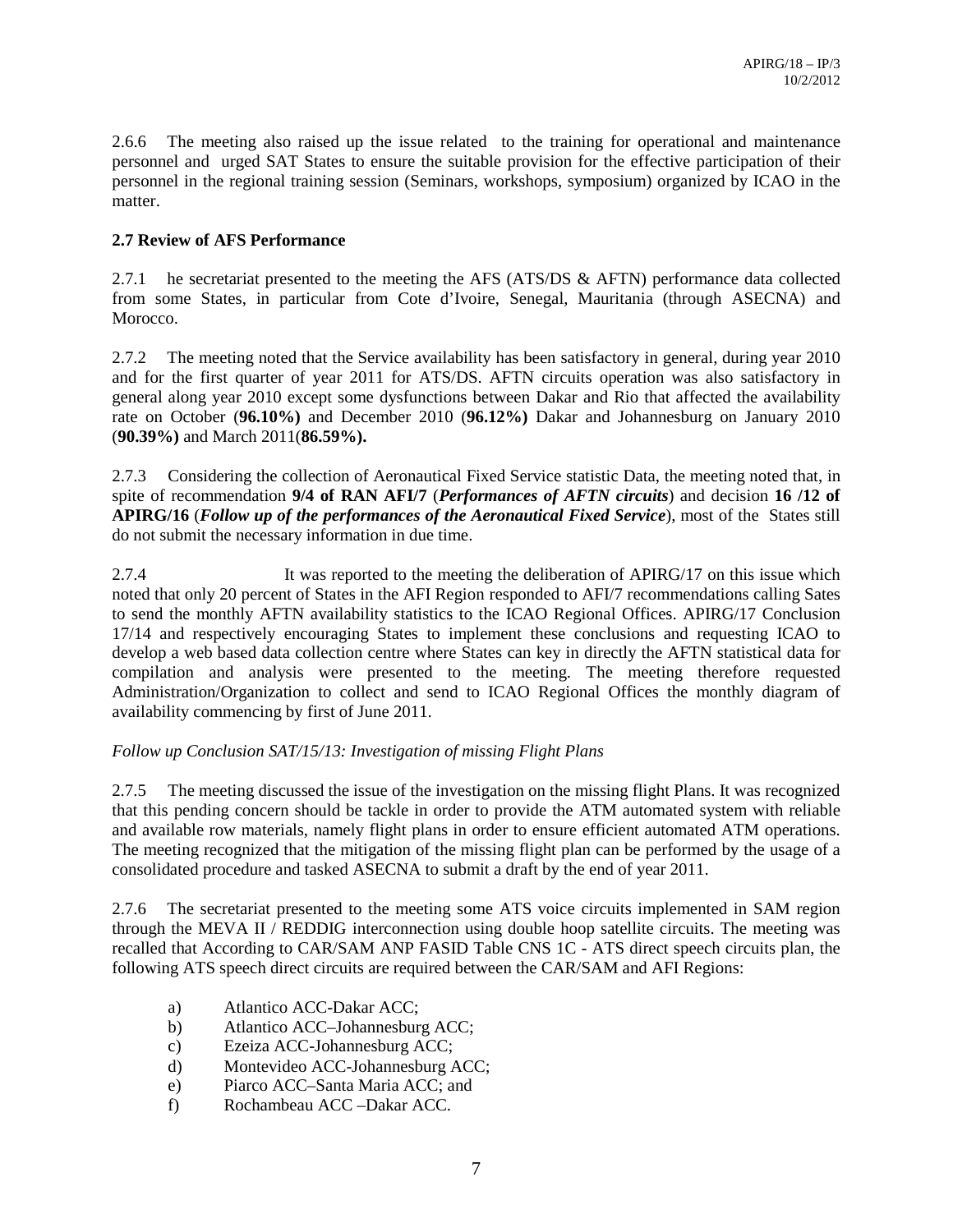2.6.6 The meeting also raised up the issue related to the training for operational and maintenance personnel and urged SAT States to ensure the suitable provision for the effective participation of their personnel in the regional training session (Seminars, workshops, symposium) organized by ICAO in the matter.

#### **2.7 Review of AFS Performance**

2.7.1 he secretariat presented to the meeting the AFS (ATS/DS & AFTN) performance data collected from some States, in particular from Cote d'Ivoire, Senegal, Mauritania (through ASECNA) and Morocco.

2.7.2 The meeting noted that the Service availability has been satisfactory in general, during year 2010 and for the first quarter of year 2011 for ATS/DS. AFTN circuits operation was also satisfactory in general along year 2010 except some dysfunctions between Dakar and Rio that affected the availability rate on October (**96.10%)** and December 2010 (**96.12%)** Dakar and Johannesburg on January 2010 (**90.39%)** and March 2011(**86.59%).**

2.7.3 Considering the collection of Aeronautical Fixed Service statistic Data, the meeting noted that, in spite of recommendation **9/4 of RAN AFI/7** (*Performances of AFTN circuits*) and decision **16 /12 of APIRG/16** (*Follow up of the performances of the Aeronautical Fixed Service*), most of the States still do not submit the necessary information in due time.

2.7.4 It was reported to the meeting the deliberation of APIRG/17 on this issue which noted that only 20 percent of States in the AFI Region responded to AFI/7 recommendations calling Sates to send the monthly AFTN availability statistics to the ICAO Regional Offices. APIRG/17 Conclusion 17/14 and respectively encouraging States to implement these conclusions and requesting ICAO to develop a web based data collection centre where States can key in directly the AFTN statistical data for compilation and analysis were presented to the meeting. The meeting therefore requested Administration/Organization to collect and send to ICAO Regional Offices the monthly diagram of availability commencing by first of June 2011.

#### *Follow up Conclusion SAT/15/13: Investigation of missing Flight Plans*

2.7.5 The meeting discussed the issue of the investigation on the missing flight Plans. It was recognized that this pending concern should be tackle in order to provide the ATM automated system with reliable and available row materials, namely flight plans in order to ensure efficient automated ATM operations. The meeting recognized that the mitigation of the missing flight plan can be performed by the usage of a consolidated procedure and tasked ASECNA to submit a draft by the end of year 2011.

2.7.6 The secretariat presented to the meeting some ATS voice circuits implemented in SAM region through the MEVA II / REDDIG interconnection using double hoop satellite circuits. The meeting was recalled that According to CAR/SAM ANP FASID Table CNS 1C - ATS direct speech circuits plan, the following ATS speech direct circuits are required between the CAR/SAM and AFI Regions:

- a) Atlantico ACC-Dakar ACC;
- b) Atlantico ACC–Johannesburg ACC;
- c) Ezeiza ACC-Johannesburg ACC;
- d) Montevideo ACC-Johannesburg ACC;
- e) Piarco ACC–Santa Maria ACC; and
- f) Rochambeau ACC –Dakar ACC.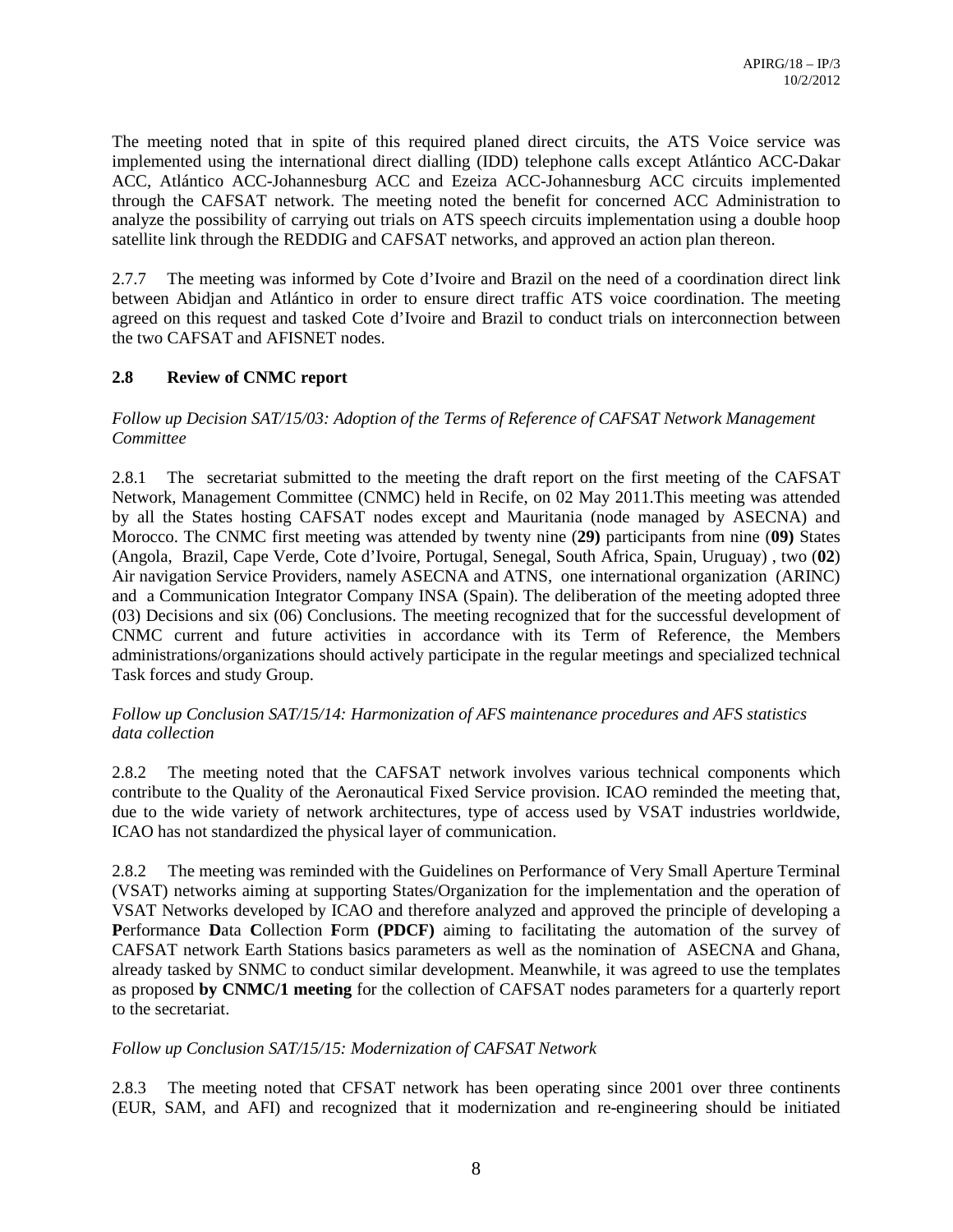The meeting noted that in spite of this required planed direct circuits, the ATS Voice service was implemented using the international direct dialling (IDD) telephone calls except Atlántico ACC-Dakar ACC, Atlántico ACC-Johannesburg ACC and Ezeiza ACC-Johannesburg ACC circuits implemented through the CAFSAT network. The meeting noted the benefit for concerned ACC Administration to analyze the possibility of carrying out trials on ATS speech circuits implementation using a double hoop satellite link through the REDDIG and CAFSAT networks, and approved an action plan thereon.

2.7.7 The meeting was informed by Cote d'Ivoire and Brazil on the need of a coordination direct link between Abidjan and Atlántico in order to ensure direct traffic ATS voice coordination. The meeting agreed on this request and tasked Cote d'Ivoire and Brazil to conduct trials on interconnection between the two CAFSAT and AFISNET nodes.

### **2.8 Review of CNMC report**

#### *Follow up Decision SAT/15/03: Adoption of the Terms of Reference of CAFSAT Network Management Committee*

2.8.1 The secretariat submitted to the meeting the draft report on the first meeting of the CAFSAT Network, Management Committee (CNMC) held in Recife, on 02 May 2011.This meeting was attended by all the States hosting CAFSAT nodes except and Mauritania (node managed by ASECNA) and Morocco. The CNMC first meeting was attended by twenty nine (**29)** participants from nine (**09)** States (Angola, Brazil, Cape Verde, Cote d'Ivoire, Portugal, Senegal, South Africa, Spain, Uruguay) , two (**02**) Air navigation Service Providers, namely ASECNA and ATNS, one international organization (ARINC) and a Communication Integrator Company INSA (Spain). The deliberation of the meeting adopted three (03) Decisions and six (06) Conclusions. The meeting recognized that for the successful development of CNMC current and future activities in accordance with its Term of Reference, the Members administrations/organizations should actively participate in the regular meetings and specialized technical Task forces and study Group.

### *Follow up Conclusion SAT/15/14: Harmonization of AFS maintenance procedures and AFS statistics data collection*

2.8.2 The meeting noted that the CAFSAT network involves various technical components which contribute to the Quality of the Aeronautical Fixed Service provision. ICAO reminded the meeting that, due to the wide variety of network architectures, type of access used by VSAT industries worldwide, ICAO has not standardized the physical layer of communication.

2.8.2 The meeting was reminded with the Guidelines on Performance of Very Small Aperture Terminal (VSAT) networks aiming at supporting States/Organization for the implementation and the operation of VSAT Networks developed by ICAO and therefore analyzed and approved the principle of developing a **P**erformance **D**ata **C**ollection **F**orm **(PDCF)** aiming to facilitating the automation of the survey of CAFSAT network Earth Stations basics parameters as well as the nomination of ASECNA and Ghana, already tasked by SNMC to conduct similar development. Meanwhile, it was agreed to use the templates as proposed **by CNMC/1 meeting** for the collection of CAFSAT nodes parameters for a quarterly report to the secretariat.

#### *Follow up Conclusion SAT/15/15: Modernization of CAFSAT Network*

2.8.3 The meeting noted that CFSAT network has been operating since 2001 over three continents (EUR, SAM, and AFI) and recognized that it modernization and re-engineering should be initiated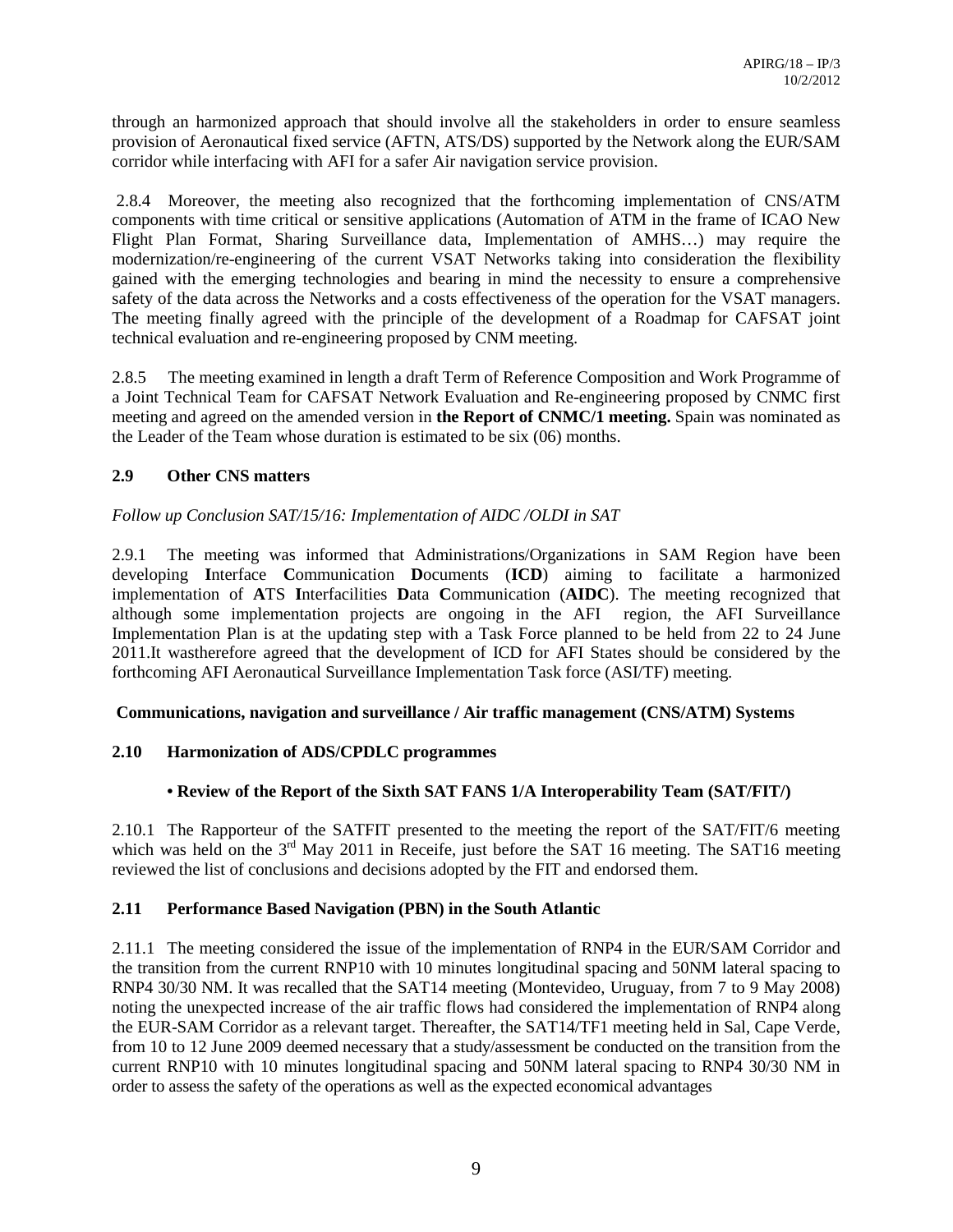through an harmonized approach that should involve all the stakeholders in order to ensure seamless provision of Aeronautical fixed service (AFTN, ATS/DS) supported by the Network along the EUR/SAM corridor while interfacing with AFI for a safer Air navigation service provision.

2.8.4 Moreover, the meeting also recognized that the forthcoming implementation of CNS/ATM components with time critical or sensitive applications (Automation of ATM in the frame of ICAO New Flight Plan Format, Sharing Surveillance data, Implementation of AMHS…) may require the modernization/re-engineering of the current VSAT Networks taking into consideration the flexibility gained with the emerging technologies and bearing in mind the necessity to ensure a comprehensive safety of the data across the Networks and a costs effectiveness of the operation for the VSAT managers. The meeting finally agreed with the principle of the development of a Roadmap for CAFSAT joint technical evaluation and re-engineering proposed by CNM meeting.

2.8.5 The meeting examined in length a draft Term of Reference Composition and Work Programme of a Joint Technical Team for CAFSAT Network Evaluation and Re-engineering proposed by CNMC first meeting and agreed on the amended version in **the Report of CNMC/1 meeting.** Spain was nominated as the Leader of the Team whose duration is estimated to be six (06) months.

# **2.9 Other CNS matters**

# *Follow up Conclusion SAT/15/16: Implementation of AIDC /OLDI in SAT*

2.9.1 The meeting was informed that Administrations/Organizations in SAM Region have been developing **I**nterface **C**ommunication **D**ocuments (**ICD**) aiming to facilitate a harmonized implementation of **A**TS **I**nterfacilities **D**ata **C**ommunication (**AIDC**). The meeting recognized that although some implementation projects are ongoing in the AFI region, the AFI Surveillance Implementation Plan is at the updating step with a Task Force planned to be held from 22 to 24 June 2011.It wastherefore agreed that the development of ICD for AFI States should be considered by the forthcoming AFI Aeronautical Surveillance Implementation Task force (ASI/TF) meeting.

# **Communications, navigation and surveillance / Air traffic management (CNS/ATM) Systems**

# **2.10 Harmonization of ADS/CPDLC programmes**

# **• Review of the Report of the Sixth SAT FANS 1/A Interoperability Team (SAT/FIT/)**

2.10.1 The Rapporteur of the SATFIT presented to the meeting the report of the SAT/FIT/6 meeting which was held on the  $3^{rd}$  May 2011 in Receife, just before the SAT 16 meeting. The SAT16 meeting reviewed the list of conclusions and decisions adopted by the FIT and endorsed them.

# **2.11 Performance Based Navigation (PBN) in the South Atlantic**

2.11.1 The meeting considered the issue of the implementation of RNP4 in the EUR/SAM Corridor and the transition from the current RNP10 with 10 minutes longitudinal spacing and 50NM lateral spacing to RNP4 30/30 NM. It was recalled that the SAT14 meeting (Montevideo, Uruguay, from 7 to 9 May 2008) noting the unexpected increase of the air traffic flows had considered the implementation of RNP4 along the EUR-SAM Corridor as a relevant target. Thereafter, the SAT14/TF1 meeting held in Sal, Cape Verde, from 10 to 12 June 2009 deemed necessary that a study/assessment be conducted on the transition from the current RNP10 with 10 minutes longitudinal spacing and 50NM lateral spacing to RNP4 30/30 NM in order to assess the safety of the operations as well as the expected economical advantages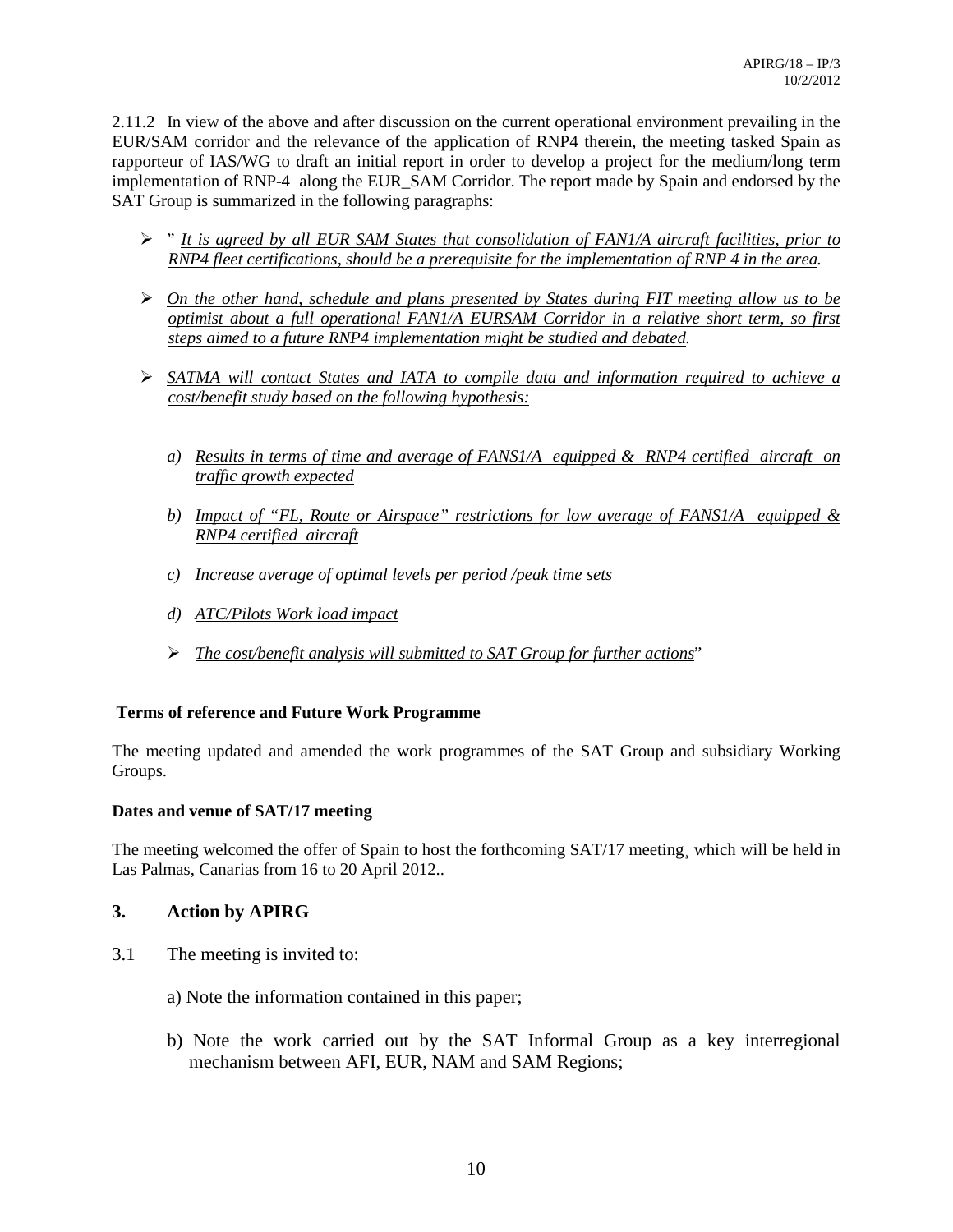2.11.2 In view of the above and after discussion on the current operational environment prevailing in the EUR/SAM corridor and the relevance of the application of RNP4 therein, the meeting tasked Spain as rapporteur of IAS/WG to draft an initial report in order to develop a project for the medium/long term implementation of RNP-4 along the EUR\_SAM Corridor. The report made by Spain and endorsed by the SAT Group is summarized in the following paragraphs:

- " *It is agreed by all EUR SAM States that consolidation of FAN1/A aircraft facilities, prior to RNP4 fleet certifications, should be a prerequisite for the implementation of RNP 4 in the area.*
- *On the other hand, schedule and plans presented by States during FIT meeting allow us to be optimist about a full operational FAN1/A EURSAM Corridor in a relative short term, so first steps aimed to a future RNP4 implementation might be studied and debated.*
- *SATMA will contact States and IATA to compile data and information required to achieve a cost/benefit study based on the following hypothesis:*
	- *a) Results in terms of time and average of FANS1/A equipped & RNP4 certified aircraft on traffic growth expected*
	- *b) Impact of "FL, Route or Airspace" restrictions for low average of FANS1/A equipped & RNP4 certified aircraft*
	- *c) Increase average of optimal levels per period /peak time sets*
	- *d) ATC/Pilots Work load impact*
	- *The cost/benefit analysis will submitted to SAT Group for further actions*"

#### **Terms of reference and Future Work Programme**

The meeting updated and amended the work programmes of the SAT Group and subsidiary Working Groups.

#### **Dates and venue of SAT/17 meeting**

The meeting welcomed the offer of Spain to host the forthcoming SAT/17 meeting, which will be held in Las Palmas, Canarias from 16 to 20 April 2012..

# **3. Action by APIRG**

- 3.1 The meeting is invited to:
	- a) Note the information contained in this paper;
	- b) Note the work carried out by the SAT Informal Group as a key interregional mechanism between AFI, EUR, NAM and SAM Regions;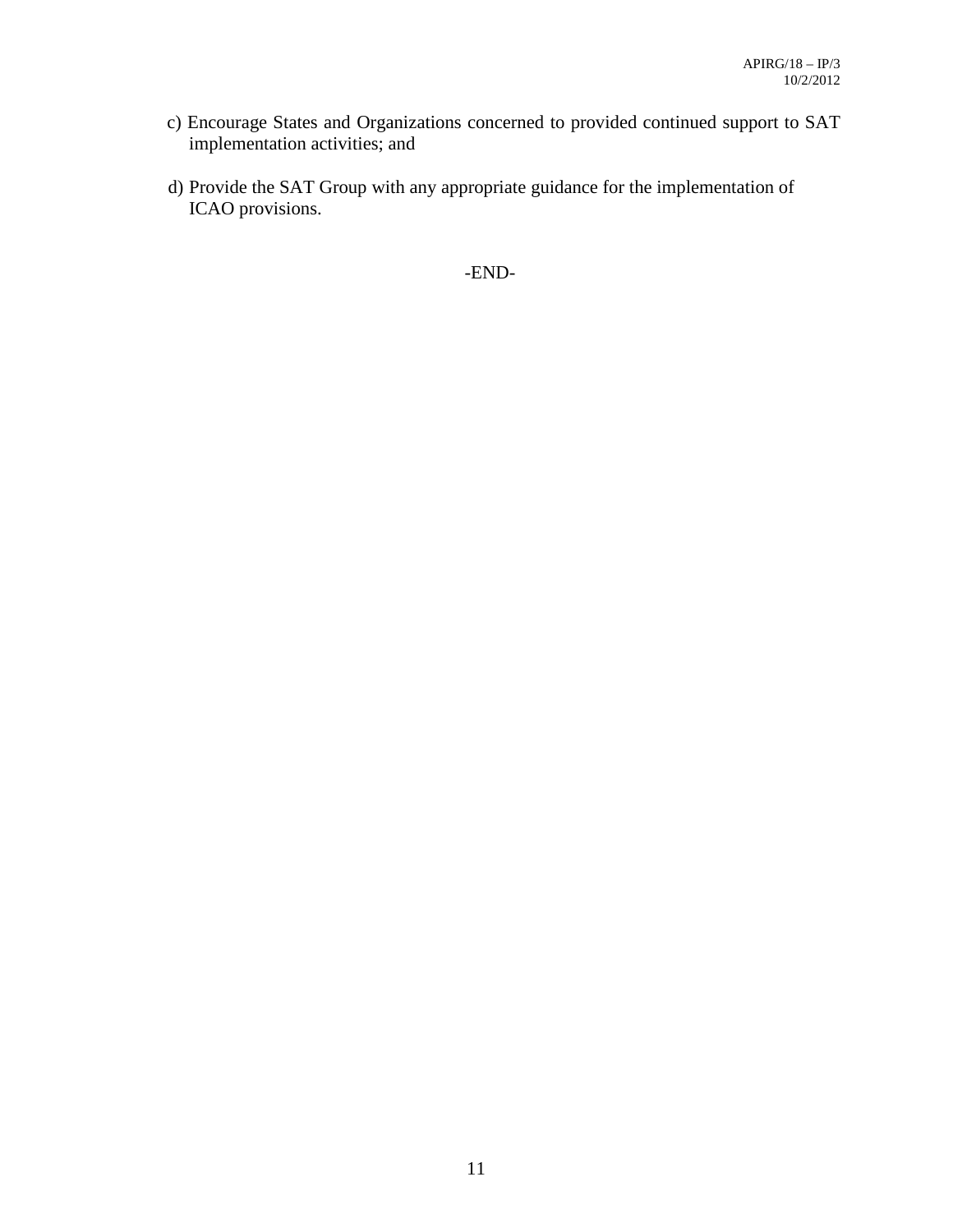- c) Encourage States and Organizations concerned to provided continued support to SAT implementation activities; and
- d) Provide the SAT Group with any appropriate guidance for the implementation of ICAO provisions.

-END-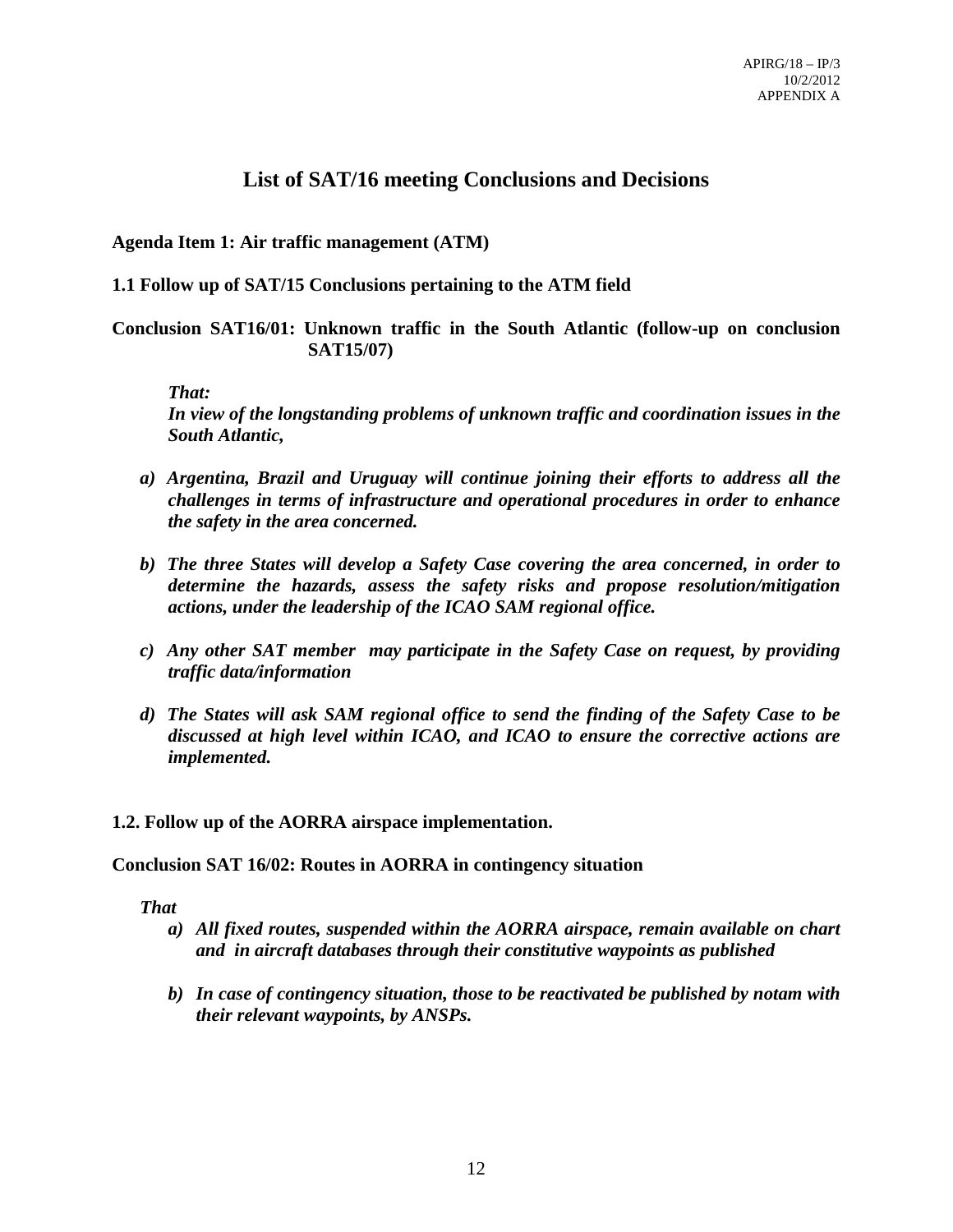# **List of SAT/16 meeting Conclusions and Decisions**

# **Agenda Item 1: Air traffic management (ATM)**

**1.1 Follow up of SAT/15 Conclusions pertaining to the ATM field**

**Conclusion SAT16/01: Unknown traffic in the South Atlantic (follow-up on conclusion SAT15/07)**

# *That:*

*In view of the longstanding problems of unknown traffic and coordination issues in the South Atlantic,*

- *a) Argentina, Brazil and Uruguay will continue joining their efforts to address all the challenges in terms of infrastructure and operational procedures in order to enhance the safety in the area concerned.*
- *b) The three States will develop a Safety Case covering the area concerned, in order to determine the hazards, assess the safety risks and propose resolution/mitigation actions, under the leadership of the ICAO SAM regional office.*
- *c) Any other SAT member may participate in the Safety Case on request, by providing traffic data/information*
- *d) The States will ask SAM regional office to send the finding of the Safety Case to be discussed at high level within ICAO, and ICAO to ensure the corrective actions are implemented.*

# **1.2. Follow up of the AORRA airspace implementation.**

# **Conclusion SAT 16/02: Routes in AORRA in contingency situation**

# *That*

- *a) All fixed routes, suspended within the AORRA airspace, remain available on chart and in aircraft databases through their constitutive waypoints as published*
- *b) In case of contingency situation, those to be reactivated be published by notam with their relevant waypoints, by ANSPs.*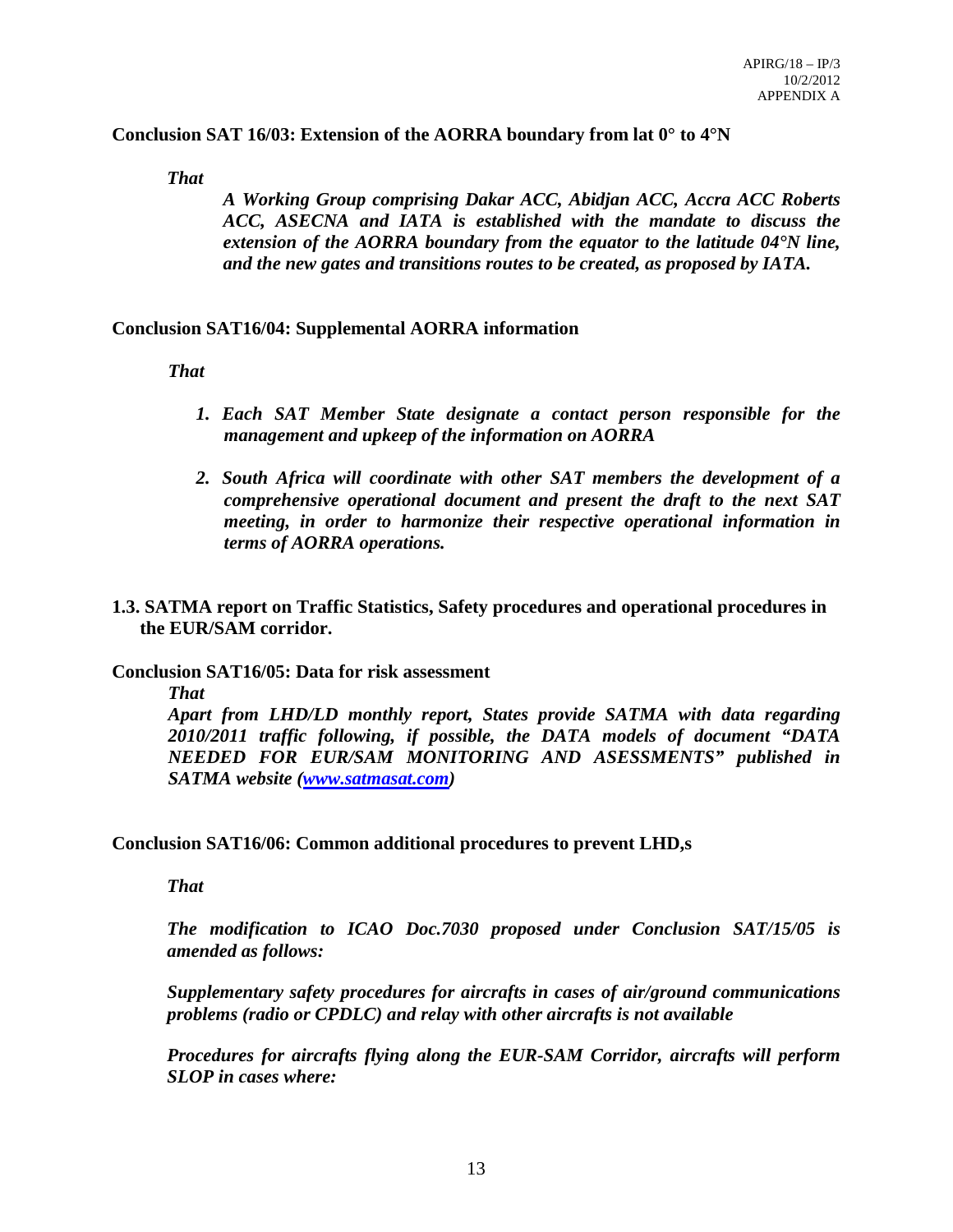### **Conclusion SAT 16/03: Extension of the AORRA boundary from lat 0° to 4°N**

*That* 

*A Working Group comprising Dakar ACC, Abidjan ACC, Accra ACC Roberts ACC, ASECNA and IATA is established with the mandate to discuss the extension of the AORRA boundary from the equator to the latitude 04°N line, and the new gates and transitions routes to be created, as proposed by IATA.*

# **Conclusion SAT16/04: Supplemental AORRA information**

*That*

- *1. Each SAT Member State designate a contact person responsible for the management and upkeep of the information on AORRA*
- *2. South Africa will coordinate with other SAT members the development of a comprehensive operational document and present the draft to the next SAT meeting, in order to harmonize their respective operational information in terms of AORRA operations.*

# **1.3. SATMA report on Traffic Statistics, Safety procedures and operational procedures in the EUR/SAM corridor.**

**Conclusion SAT16/05: Data for risk assessment**

*That*

*Apart from LHD/LD monthly report, States provide SATMA with data regarding 2010/2011 traffic following, if possible, the DATA models of document "DATA NEEDED FOR EUR/SAM MONITORING AND ASESSMENTS" published in SATMA website [\(www.satmasat.com\)](http://www.satmasat.com/)* 

#### **Conclusion SAT16/06: Common additional procedures to prevent LHD,s**

*That* 

*The modification to ICAO Doc.7030 proposed under Conclusion SAT/15/05 is amended as follows:*

*Supplementary safety procedures for aircrafts in cases of air/ground communications problems (radio or CPDLC) and relay with other aircrafts is not available*

*Procedures for aircrafts flying along the EUR-SAM Corridor, aircrafts will perform SLOP in cases where:*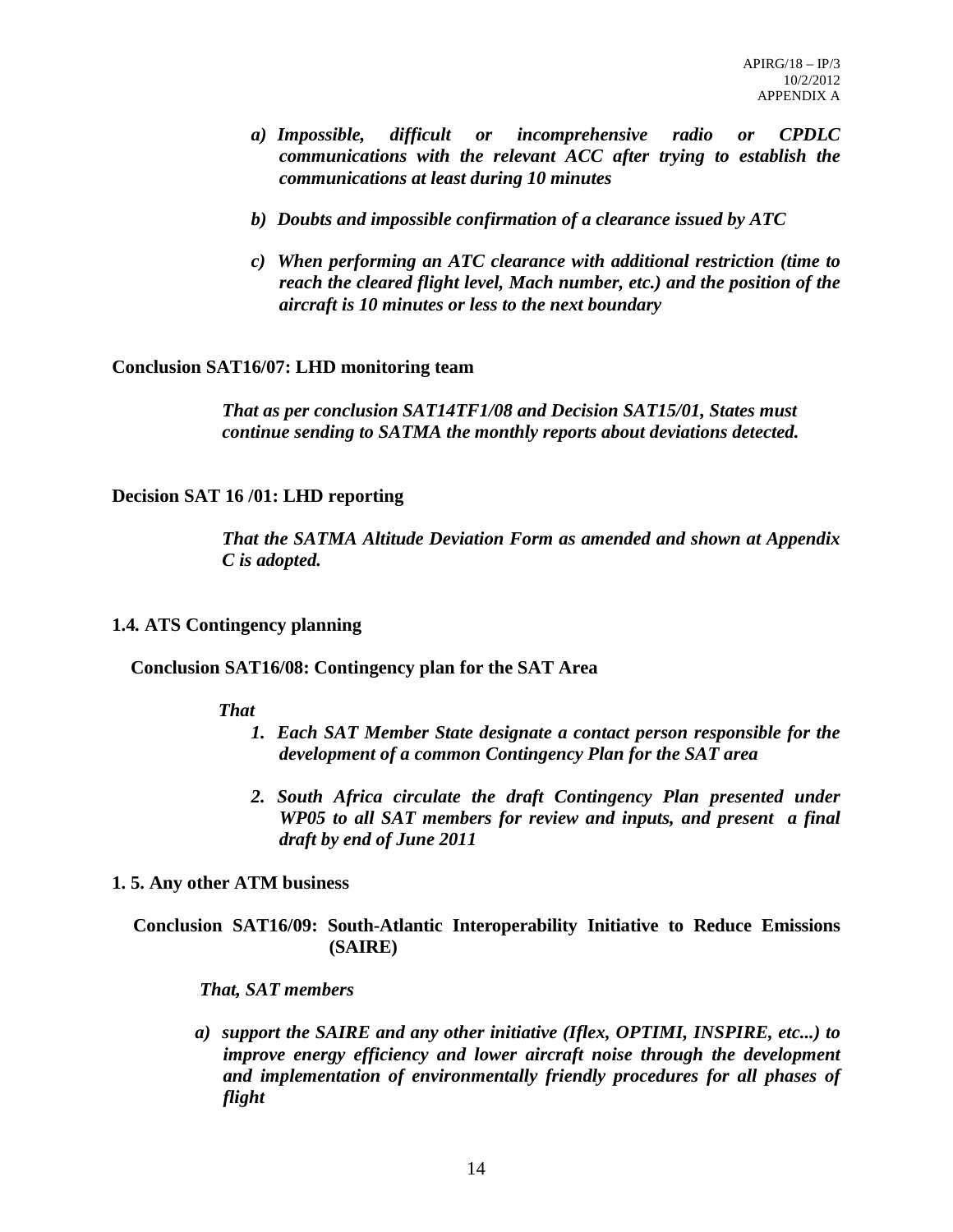- *a) Impossible, difficult or incomprehensive radio or CPDLC communications with the relevant ACC after trying to establish the communications at least during 10 minutes*
- *b) Doubts and impossible confirmation of a clearance issued by ATC*
- *c) When performing an ATC clearance with additional restriction (time to reach the cleared flight level, Mach number, etc.) and the position of the aircraft is 10 minutes or less to the next boundary*

### **Conclusion SAT16/07: LHD monitoring team**

*That as per conclusion SAT14TF1/08 and Decision SAT15/01, States must continue sending to SATMA the monthly reports about deviations detected.*

### **Decision SAT 16 /01: LHD reporting**

*That the SATMA Altitude Deviation Form as amended and shown at Appendix C is adopted.*

#### **1.4***.* **ATS Contingency planning**

 **Conclusion SAT16/08: Contingency plan for the SAT Area**

#### *That*

- *1. Each SAT Member State designate a contact person responsible for the development of a common Contingency Plan for the SAT area*
- *2. South Africa circulate the draft Contingency Plan presented under WP05 to all SAT members for review and inputs, and present a final draft by end of June 2011*

#### **1. 5. Any other ATM business**

# **Conclusion SAT16/09: South-Atlantic Interoperability Initiative to Reduce Emissions (SAIRE)**

#### *That, SAT members*

*a) support the SAIRE and any other initiative (Iflex, OPTIMI, INSPIRE, etc...) to improve energy efficiency and lower aircraft noise through the development and implementation of environmentally friendly procedures for all phases of flight*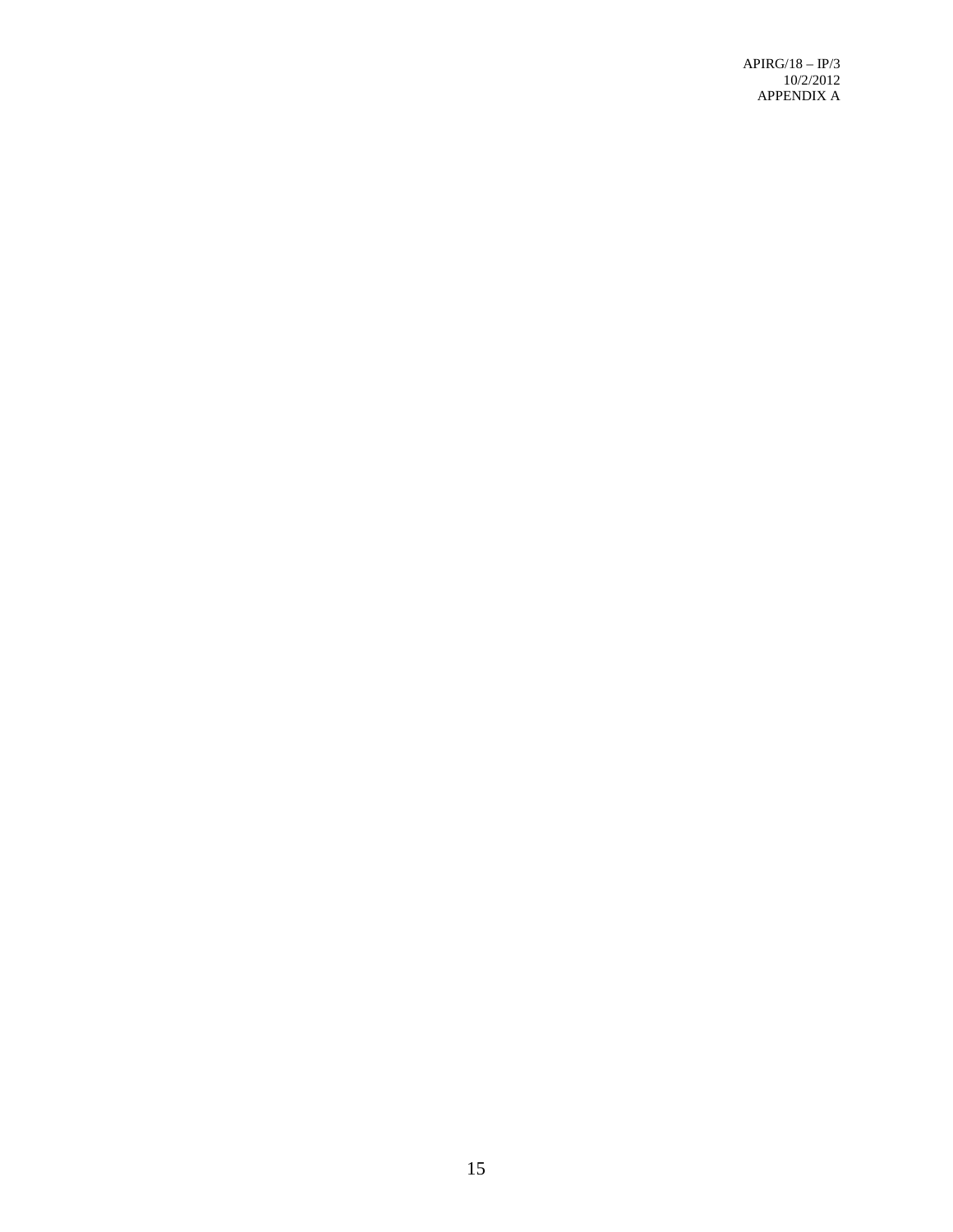APIRG/18 – IP/3 10/2/2012 APPENDIX A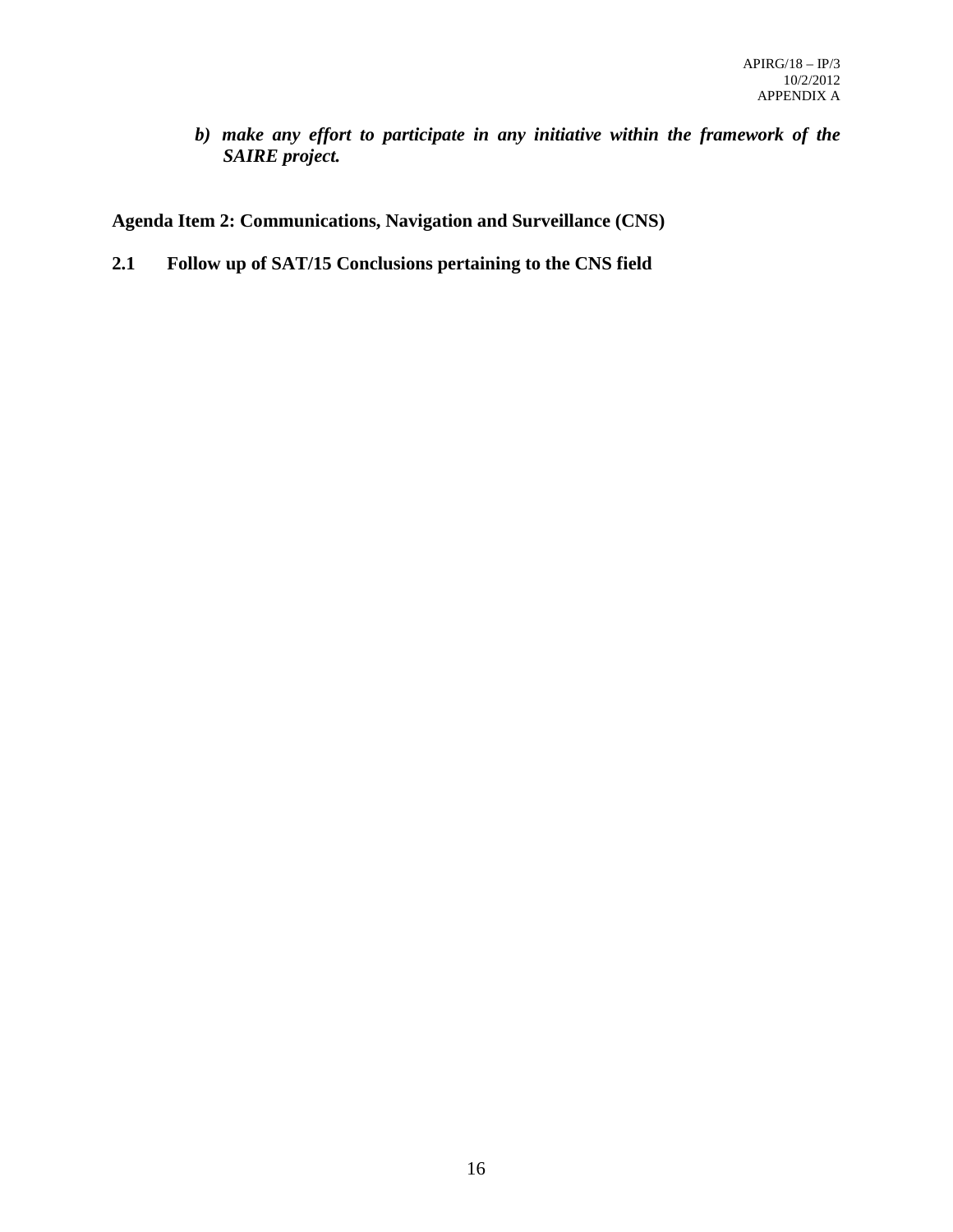*b) make any effort to participate in any initiative within the framework of the SAIRE project.*

**Agenda Item 2: Communications, Navigation and Surveillance (CNS)**

**2.1 Follow up of SAT/15 Conclusions pertaining to the CNS field**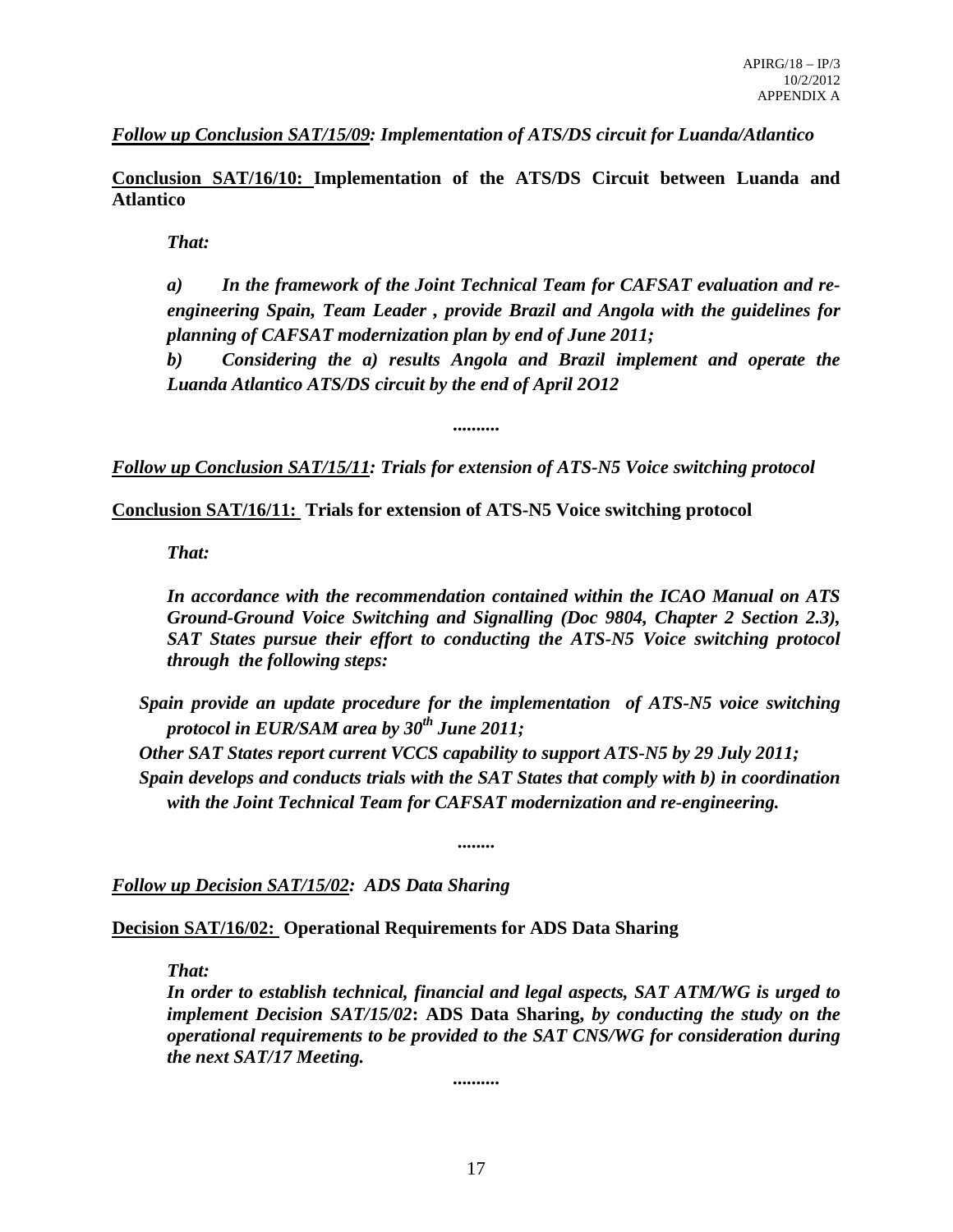*Follow up Conclusion SAT/15/09: Implementation of ATS/DS circuit for Luanda/Atlantico*

**Conclusion SAT/16/10: Implementation of the ATS/DS Circuit between Luanda and Atlantico**

*That:*

*a) In the framework of the Joint Technical Team for CAFSAT evaluation and reengineering Spain, Team Leader , provide Brazil and Angola with the guidelines for planning of CAFSAT modernization plan by end of June 2011;*

*b) Considering the a) results Angola and Brazil implement and operate the Luanda Atlantico ATS/DS circuit by the end of April 2O12*

**..........**

*Follow up Conclusion SAT/15/11: Trials for extension of ATS-N5 Voice switching protocol*

**Conclusion SAT/16/11: Trials for extension of ATS-N5 Voice switching protocol**

*That:*

*In accordance with the recommendation contained within the ICAO Manual on ATS Ground-Ground Voice Switching and Signalling (Doc 9804, Chapter 2 Section 2.3), SAT States pursue their effort to conducting the ATS-N5 Voice switching protocol through the following steps:*

*Spain provide an update procedure for the implementation of ATS-N5 voice switching protocol in EUR/SAM area by 30<sup>th</sup> June 2011;* 

*Other SAT States report current VCCS capability to support ATS-N5 by 29 July 2011; Spain develops and conducts trials with the SAT States that comply with b) in coordination with the Joint Technical Team for CAFSAT modernization and re-engineering.*

**........**

*Follow up Decision SAT/15/02: ADS Data Sharing*

**Decision SAT/16/02: Operational Requirements for ADS Data Sharing**

*That:*

*In order to establish technical, financial and legal aspects, SAT ATM/WG is urged to implement Decision SAT/15/02***: ADS Data Sharing,** *by conducting the study on the operational requirements to be provided to the SAT CNS/WG for consideration during the next SAT/17 Meeting.* 

**..........**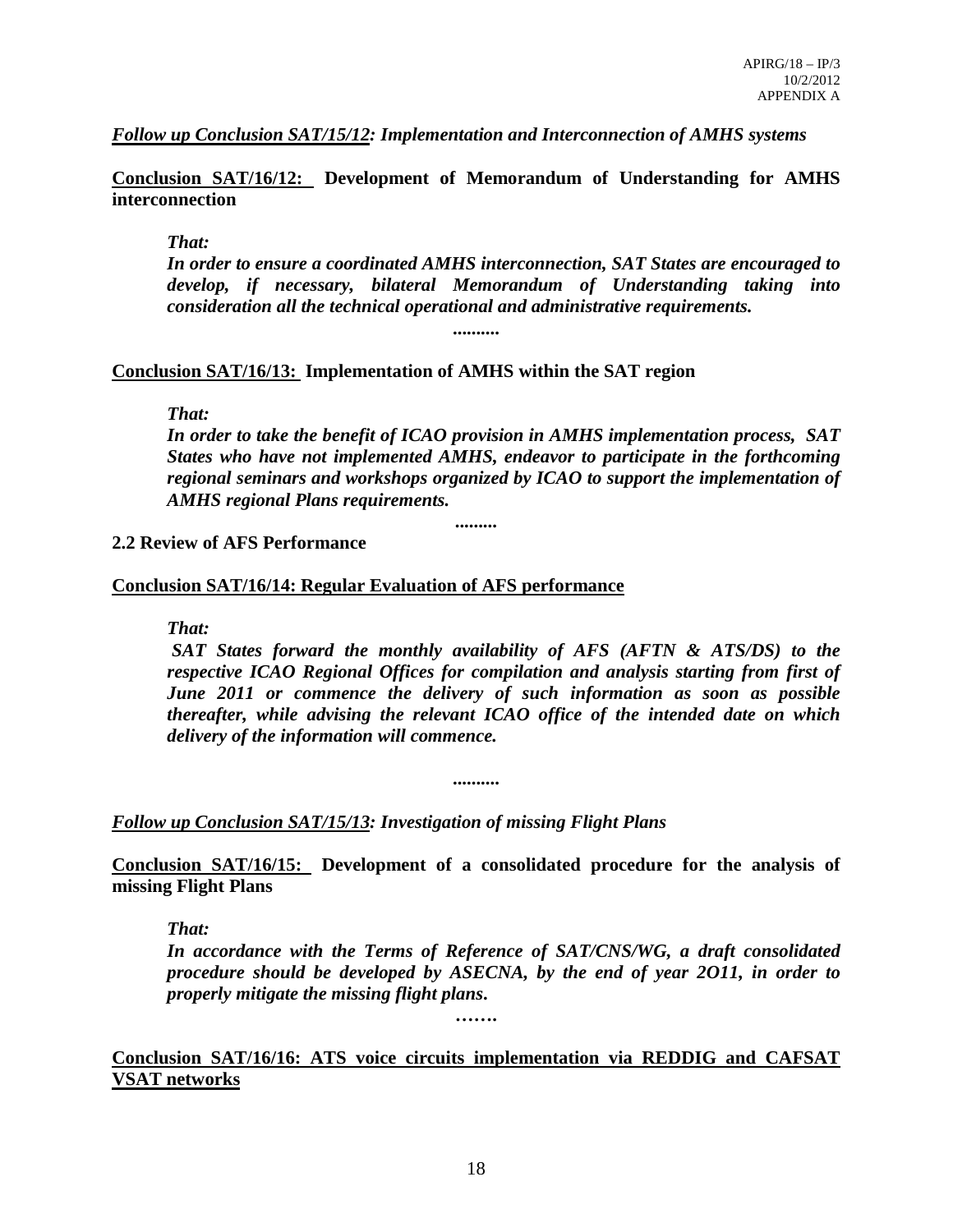*Follow up Conclusion SAT/15/12: Implementation and Interconnection of AMHS systems*

**Conclusion SAT/16/12: Development of Memorandum of Understanding for AMHS interconnection**

**..........**

*That:*

*In order to ensure a coordinated AMHS interconnection, SAT States are encouraged to develop, if necessary, bilateral Memorandum of Understanding taking into consideration all the technical operational and administrative requirements.*

# **Conclusion SAT/16/13: Implementation of AMHS within the SAT region**

*That:*

*In order to take the benefit of ICAO provision in AMHS implementation process, SAT States who have not implemented AMHS, endeavor to participate in the forthcoming regional seminars and workshops organized by ICAO to support the implementation of AMHS regional Plans requirements.*

**.........**

#### **2.2 Review of AFS Performance**

#### **Conclusion SAT/16/14: Regular Evaluation of AFS performance**

*That:*

*SAT States forward the monthly availability of AFS (AFTN & ATS/DS) to the respective ICAO Regional Offices for compilation and analysis starting from first of June 2011 or commence the delivery of such information as soon as possible thereafter, while advising the relevant ICAO office of the intended date on which delivery of the information will commence.*

*Follow up Conclusion SAT/15/13: Investigation of missing Flight Plans*

**Conclusion SAT/16/15: Development of a consolidated procedure for the analysis of missing Flight Plans**

**..........**

*That:*

*In accordance with the Terms of Reference of SAT/CNS/WG, a draft consolidated procedure should be developed by ASECNA, by the end of year 2O11, in order to properly mitigate the missing flight plans***.**

**…….**

**Conclusion SAT/16/16: ATS voice circuits implementation via REDDIG and CAFSAT VSAT networks**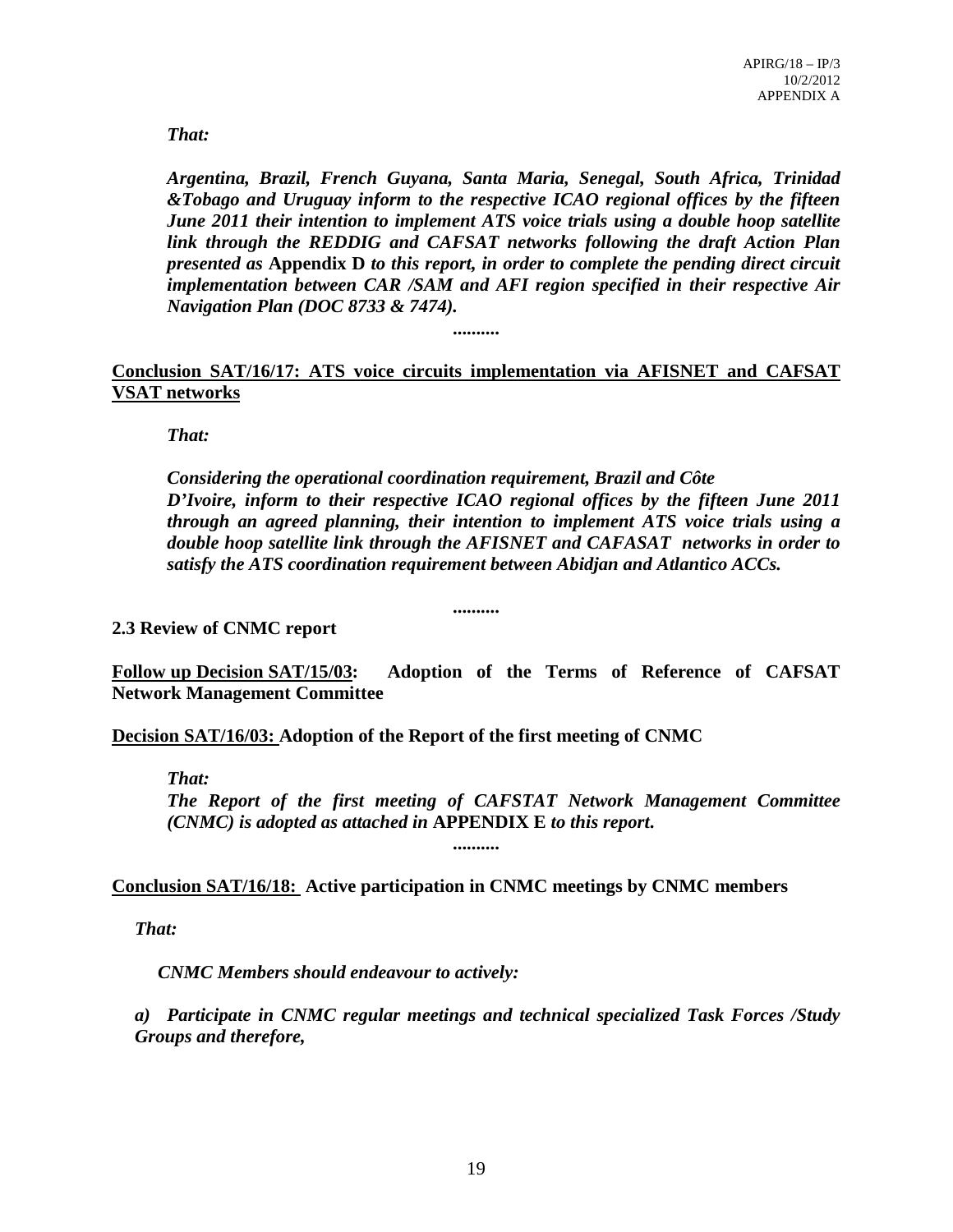*That:*

*Argentina, Brazil, French Guyana, Santa Maria, Senegal, South Africa, Trinidad &Tobago and Uruguay inform to the respective ICAO regional offices by the fifteen June 2011 their intention to implement ATS voice trials using a double hoop satellite link through the REDDIG and CAFSAT networks following the draft Action Plan presented as* **Appendix D** *to this report, in order to complete the pending direct circuit implementation between CAR /SAM and AFI region specified in their respective Air Navigation Plan (DOC 8733 & 7474).*

**..........**

# **Conclusion SAT/16/17: ATS voice circuits implementation via AFISNET and CAFSAT VSAT networks**

*That:*

*Considering the operational coordination requirement, Brazil and Côte D'Ivoire, inform to their respective ICAO regional offices by the fifteen June 2011 through an agreed planning, their intention to implement ATS voice trials using a double hoop satellite link through the AFISNET and CAFASAT networks in order to satisfy the ATS coordination requirement between Abidjan and Atlantico ACCs.*

**..........**

**2.3 Review of CNMC report**

**Follow up Decision SAT/15/03: Adoption of the Terms of Reference of CAFSAT Network Management Committee**

**Decision SAT/16/03: Adoption of the Report of the first meeting of CNMC**

*That:*

*The Report of the first meeting of CAFSTAT Network Management Committee (CNMC) is adopted as attached in* **APPENDIX E** *to this report***.**

**Conclusion SAT/16/18: Active participation in CNMC meetings by CNMC members**

**..........**

*That:*

*CNMC Members should endeavour to actively:*

*a) Participate in CNMC regular meetings and technical specialized Task Forces /Study Groups and therefore,*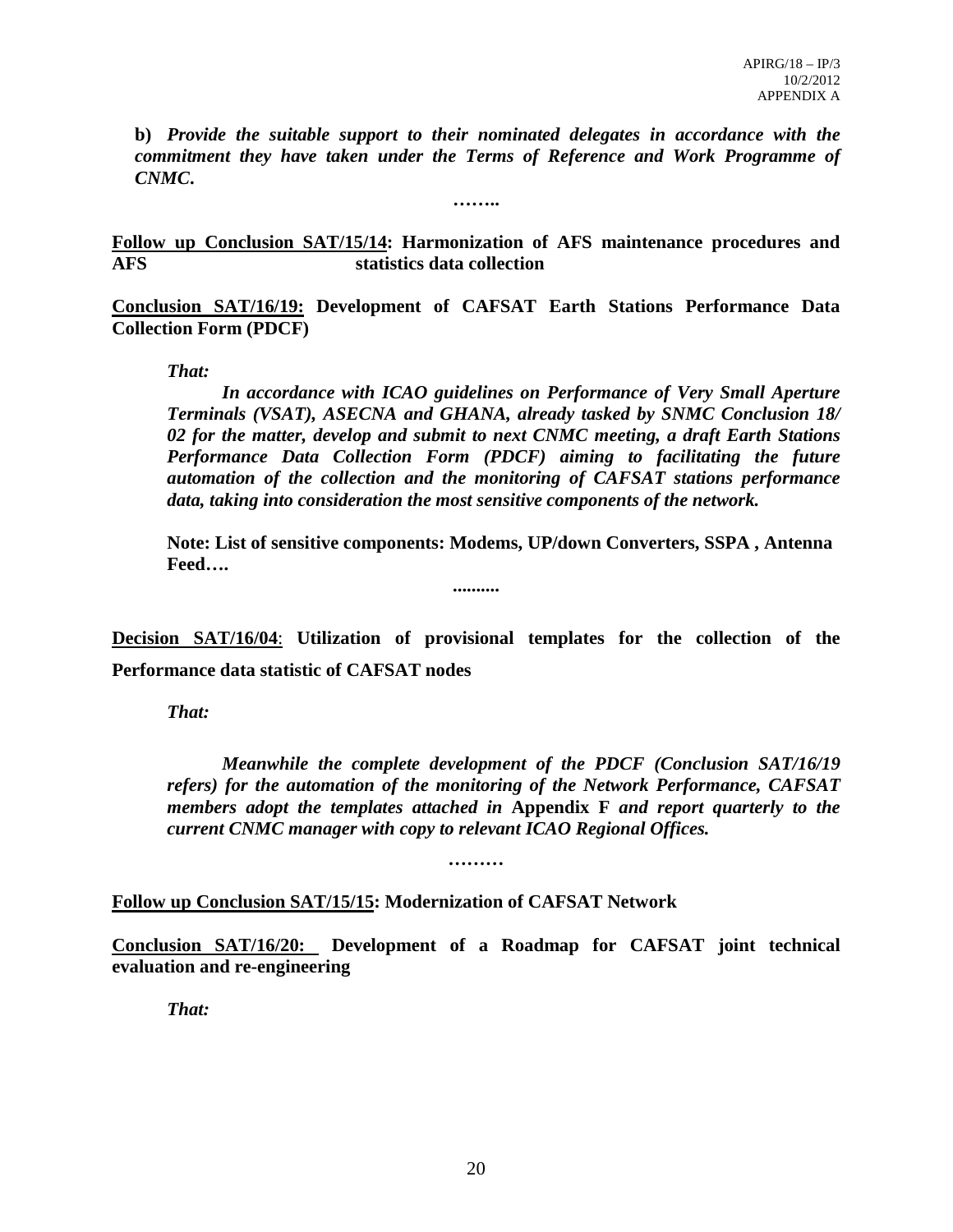**b)** *Provide the suitable support to their nominated delegates in accordance with the commitment they have taken under the Terms of Reference and Work Programme of CNMC***.**

**Follow up Conclusion SAT/15/14: Harmonization of AFS maintenance procedures and AFS statistics data collection**

**……..**

**Conclusion SAT/16/19: Development of CAFSAT Earth Stations Performance Data Collection Form (PDCF)**

*That:*

*In accordance with ICAO guidelines on Performance of Very Small Aperture Terminals (VSAT), ASECNA and GHANA, already tasked by SNMC Conclusion 18/ 02 for the matter, develop and submit to next CNMC meeting, a draft Earth Stations Performance Data Collection Form (PDCF) aiming to facilitating the future automation of the collection and the monitoring of CAFSAT stations performance data, taking into consideration the most sensitive components of the network.*

**Note: List of sensitive components: Modems, UP/down Converters, SSPA , Antenna Feed….**

**Decision SAT/16/04**: **Utilization of provisional templates for the collection of the Performance data statistic of CAFSAT nodes**

**..........**

*That:*

*Meanwhile the complete development of the PDCF (Conclusion SAT/16/19 refers) for the automation of the monitoring of the Network Performance, CAFSAT members adopt the templates attached in* **Appendix F** *and report quarterly to the current CNMC manager with copy to relevant ICAO Regional Offices.*

**………**

**Follow up Conclusion SAT/15/15: Modernization of CAFSAT Network**

**Conclusion SAT/16/20: Development of a Roadmap for CAFSAT joint technical evaluation and re-engineering**

*That:*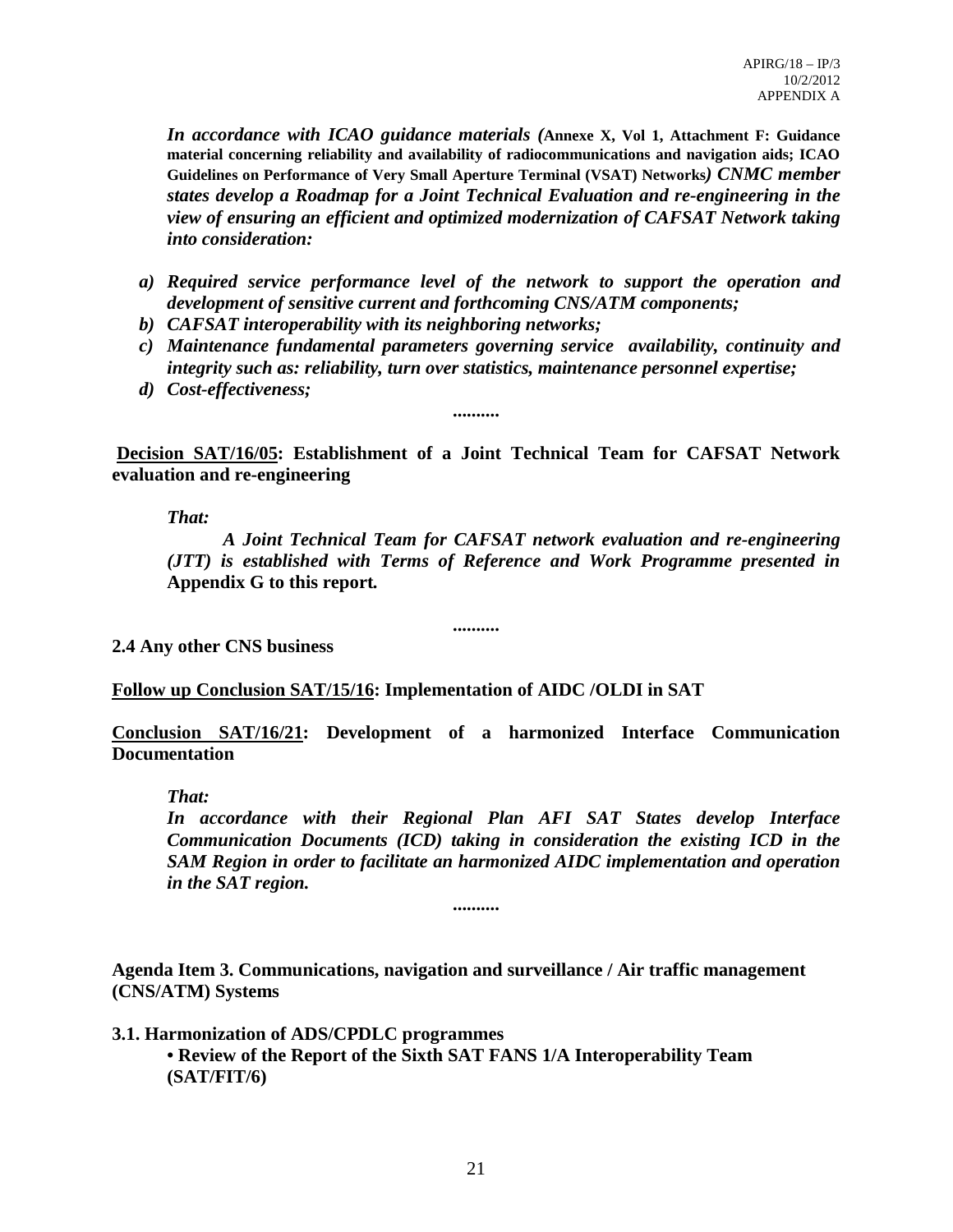*In accordance with ICAO guidance materials (***Annexe X, Vol 1, Attachment F: Guidance material concerning reliability and availability of radiocommunications and navigation aids; ICAO Guidelines on Performance of Very Small Aperture Terminal (VSAT) Networks***) CNMC member states develop a Roadmap for a Joint Technical Evaluation and re-engineering in the view of ensuring an efficient and optimized modernization of CAFSAT Network taking into consideration:*

- *a) Required service performance level of the network to support the operation and development of sensitive current and forthcoming CNS/ATM components;*
- *b) CAFSAT interoperability with its neighboring networks;*
- *c) Maintenance fundamental parameters governing service availability, continuity and integrity such as: reliability, turn over statistics, maintenance personnel expertise;*
- *d) Cost-effectiveness;*

**Decision SAT/16/05: Establishment of a Joint Technical Team for CAFSAT Network evaluation and re-engineering**

**..........**

*That:*

*A Joint Technical Team for CAFSAT network evaluation and re-engineering (JTT) is established with Terms of Reference and Work Programme presented in*  **Appendix G to this report***.*

**..........**

**2.4 Any other CNS business**

# **Follow up Conclusion SAT/15/16: Implementation of AIDC /OLDI in SAT**

**Conclusion SAT/16/21: Development of a harmonized Interface Communication Documentation**

*That:*

*In accordance with their Regional Plan AFI SAT States develop Interface Communication Documents (ICD) taking in consideration the existing ICD in the SAM Region in order to facilitate an harmonized AIDC implementation and operation in the SAT region.*

**..........**

**Agenda Item 3. Communications, navigation and surveillance / Air traffic management (CNS/ATM) Systems**

# **3.1. Harmonization of ADS/CPDLC programmes**

**• Review of the Report of the Sixth SAT FANS 1/A Interoperability Team (SAT/FIT/6)**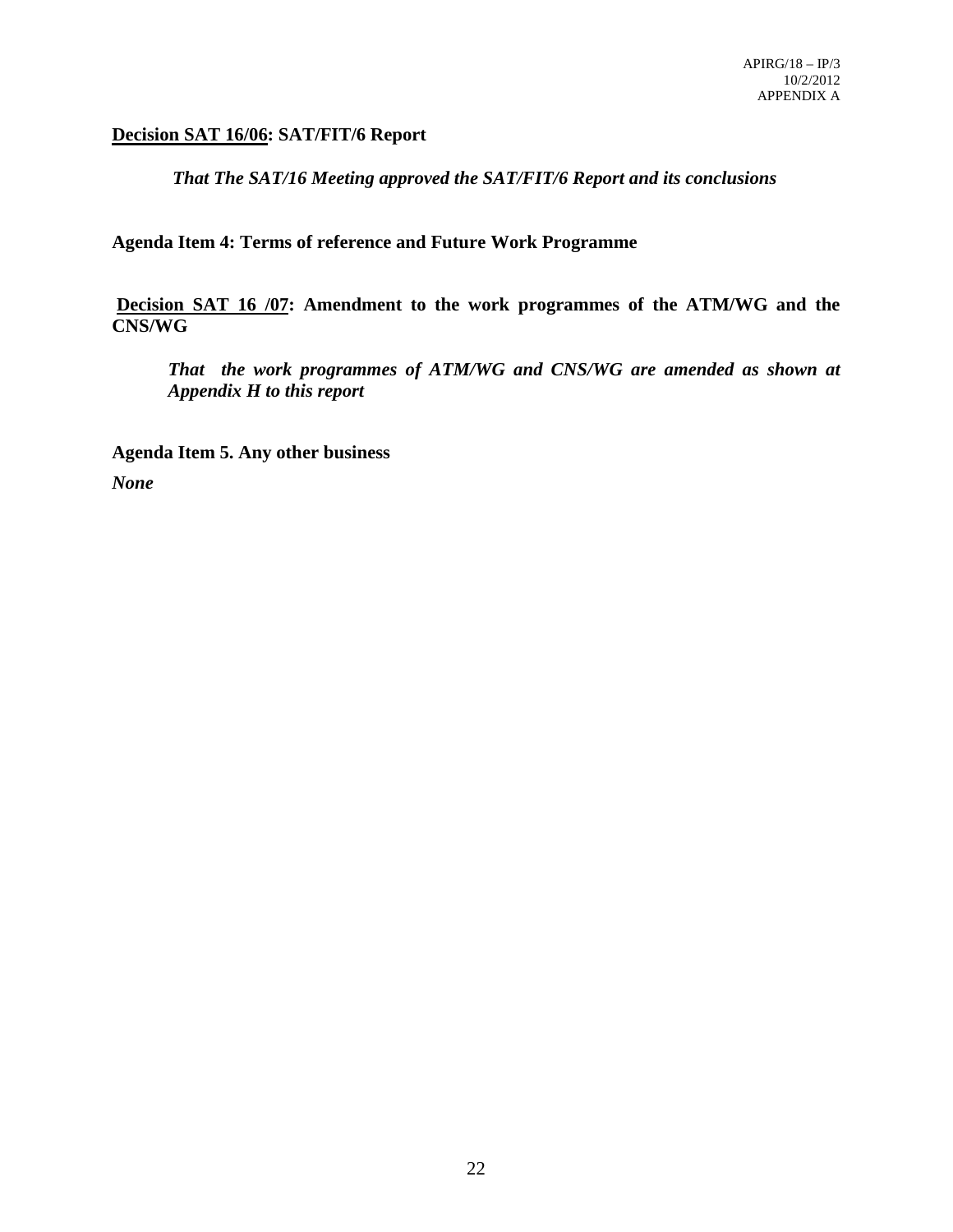# **Decision SAT 16/06: SAT/FIT/6 Report**

# *That The SAT/16 Meeting approved the SAT/FIT/6 Report and its conclusions*

**Agenda Item 4: Terms of reference and Future Work Programme**

**Decision SAT 16 /07: Amendment to the work programmes of the ATM/WG and the CNS/WG**

*That the work programmes of ATM/WG and CNS/WG are amended as shown at Appendix H to this report*

**Agenda Item 5. Any other business**

*None*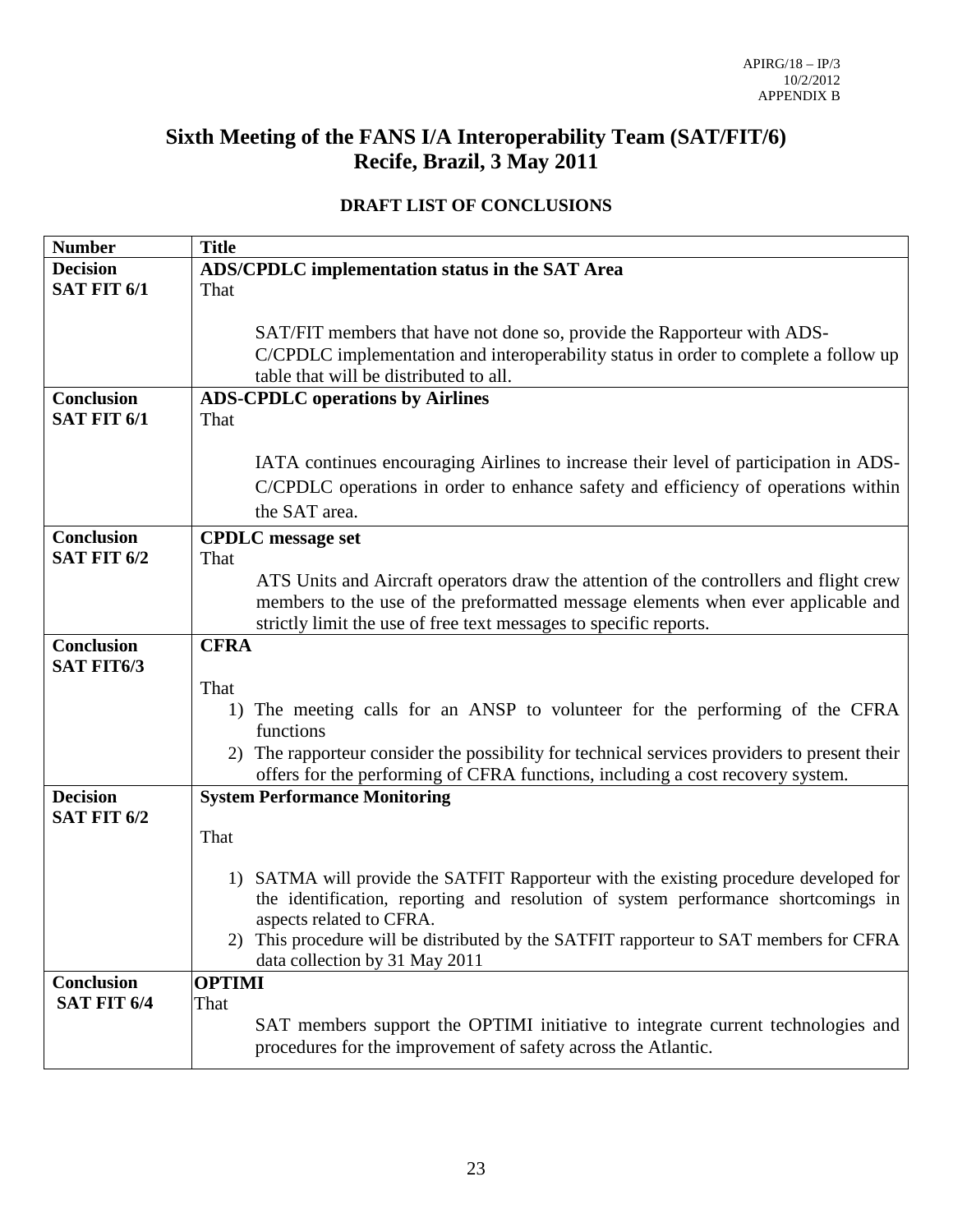# **Sixth Meeting of the FANS I/A Interoperability Team (SAT/FIT/6) Recife, Brazil, 3 May 2011**

#### Number Title **Decision SAT FIT 6/1 ADS/CPDLC implementation status in the SAT Area That** SAT/FIT members that have not done so, provide the Rapporteur with ADS-C/CPDLC implementation and interoperability status in order to complete a follow up table that will be distributed to all. **Conclusion SAT FIT 6/1 ADS-CPDLC operations by Airlines That** IATA continues encouraging Airlines to increase their level of participation in ADS-C/CPDLC operations in order to enhance safety and efficiency of operations within the SAT area. **Conclusion SAT FIT 6/2 CPDLC message set** That ATS Units and Aircraft operators draw the attention of the controllers and flight crew members to the use of the preformatted message elements when ever applicable and strictly limit the use of free text messages to specific reports. **Conclusion SAT FIT6/3 CFRA** That 1) The meeting calls for an ANSP to volunteer for the performing of the CFRA functions 2) The rapporteur consider the possibility for technical services providers to present their offers for the performing of CFRA functions, including a cost recovery system*.* **Decision SAT FIT 6/2 System Performance Monitoring** That 1) SATMA will provide the SATFIT Rapporteur with the existing procedure developed for the identification, reporting and resolution of system performance shortcomings in aspects related to CFRA. 2) This procedure will be distributed by the SATFIT rapporteur to SAT members for CFRA data collection by 31 May 2011 **Conclusion SAT FIT 6/4 OPTIMI That** SAT members support the OPTIMI initiative to integrate current technologies and procedures for the improvement of safety across the Atlantic.

# **DRAFT LIST OF CONCLUSIONS**